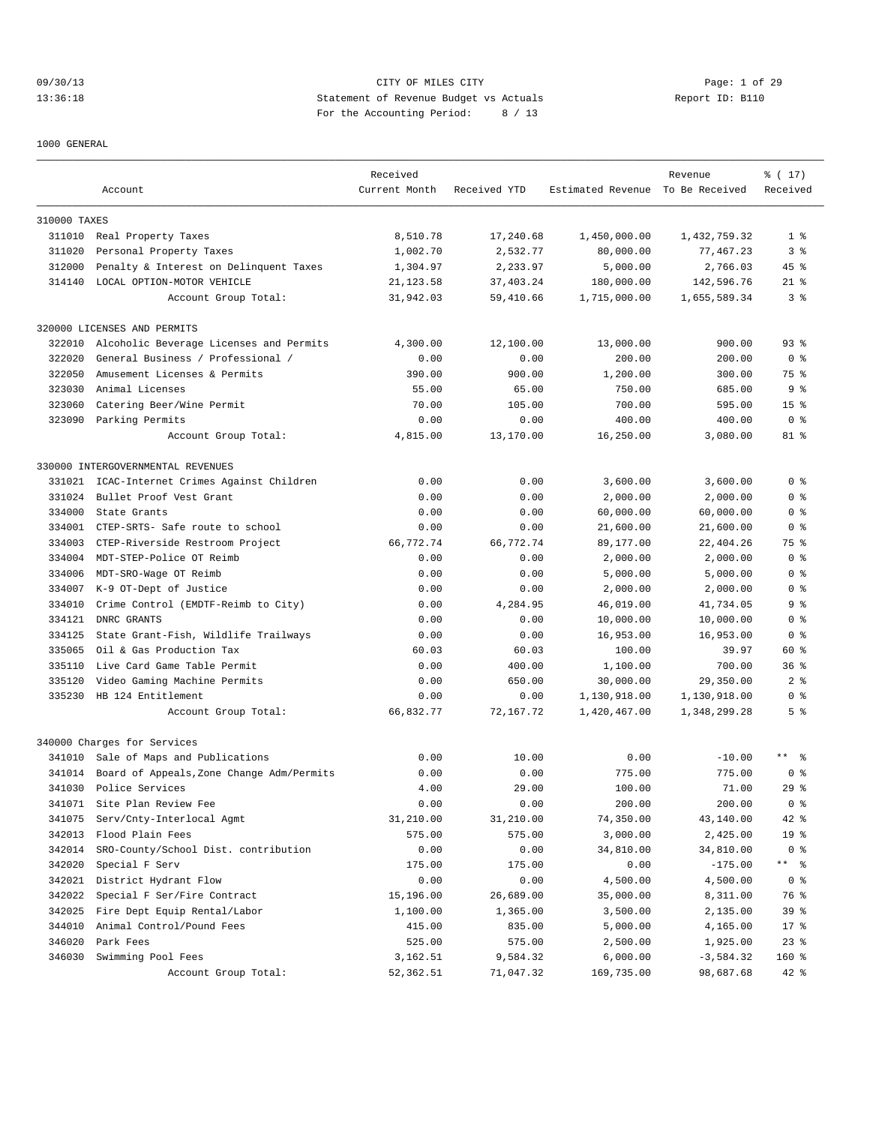#### 09/30/13 Page: 1 of 29 13:36:18 Statement of Revenue Budget vs Actuals Report ID: B110 For the Accounting Period: 8 / 13

1000 GENERAL

| Received YTD<br>Estimated Revenue To Be Received<br>Received<br>Account<br>Current Month<br>310000 TAXES<br>311010 Real Property Taxes<br>8,510.78<br>17,240.68<br>1,450,000.00<br>1,432,759.32<br>1 <sup>8</sup><br>1,002.70<br>2,532.77<br>77,467.23<br>3 <sup>8</sup><br>311020<br>Personal Property Taxes<br>80,000.00<br>312000<br>Penalty & Interest on Delinquent Taxes<br>1,304.97<br>2,233.97<br>5,000.00<br>2,766.03<br>45 %<br>314140<br>LOCAL OPTION-MOTOR VEHICLE<br>21, 123.58<br>37,403.24<br>180,000.00<br>142,596.76<br>$21$ %<br>31,942.03<br>1,715,000.00<br>1,655,589.34<br>3%<br>Account Group Total:<br>59,410.66<br>320000 LICENSES AND PERMITS<br>Alcoholic Beverage Licenses and Permits<br>4,300.00<br>12,100.00<br>13,000.00<br>900.00<br>$93$ $%$<br>322010<br>General Business / Professional /<br>200.00<br>200.00<br>0 <sup>8</sup><br>322020<br>0.00<br>0.00<br>322050<br>Amusement Licenses & Permits<br>390.00<br>900.00<br>1,200.00<br>300.00<br>75 %<br>323030<br>Animal Licenses<br>55.00<br>65.00<br>750.00<br>685.00<br>9 <sup>8</sup><br>323060<br>Catering Beer/Wine Permit<br>70.00<br>105.00<br>700.00<br>595.00<br>15 <sup>°</sup><br>323090<br>Parking Permits<br>0.00<br>0.00<br>400.00<br>400.00<br>0 <sup>8</sup><br>13,170.00<br>16,250.00<br>3,080.00<br>81 %<br>Account Group Total:<br>4,815.00<br>330000 INTERGOVERNMENTAL REVENUES<br>ICAC-Internet Crimes Against Children<br>0.00<br>0.00<br>3,600.00<br>3,600.00<br>0 <sup>8</sup><br>331021<br>331024<br>Bullet Proof Vest Grant<br>0.00<br>0.00<br>2,000.00<br>2,000.00<br>0 <sup>8</sup><br>334000<br>0.00<br>60,000.00<br>60,000.00<br>0 <sup>8</sup><br>State Grants<br>0.00<br>334001<br>CTEP-SRTS- Safe route to school<br>0.00<br>0.00<br>21,600.00<br>21,600.00<br>0 <sup>8</sup><br>334003<br>CTEP-Riverside Restroom Project<br>66,772.74<br>66,772.74<br>89,177.00<br>22,404.26<br>75 %<br>334004<br>MDT-STEP-Police OT Reimb<br>0.00<br>0.00<br>2,000.00<br>2,000.00<br>0 <sup>8</sup><br>334006<br>MDT-SRO-Wage OT Reimb<br>0.00<br>0.00<br>5,000.00<br>5,000.00<br>0 <sup>8</sup><br>334007<br>K-9 OT-Dept of Justice<br>0.00<br>2,000.00<br>2,000.00<br>0 <sup>8</sup><br>0.00<br>334010<br>Crime Control (EMDTF-Reimb to City)<br>0.00<br>4,284.95<br>46,019.00<br>41,734.05<br>9 <sub>8</sub><br>334121<br>DNRC GRANTS<br>0.00<br>0.00<br>10,000.00<br>10,000.00<br>0 <sup>8</sup><br>334125<br>State Grant-Fish, Wildlife Trailways<br>0.00<br>0.00<br>16,953.00<br>16,953.00<br>0 <sup>8</sup><br>335065<br>Oil & Gas Production Tax<br>60.03<br>60.03<br>100.00<br>39.97<br>60 %<br>335110<br>Live Card Game Table Permit<br>0.00<br>400.00<br>1,100.00<br>700.00<br>36%<br>335120<br>Video Gaming Machine Permits<br>0.00<br>650.00<br>30,000.00<br>29,350.00<br>2 <sup>8</sup><br>335230<br>HB 124 Entitlement<br>0.00<br>0.00<br>1,130,918.00<br>1,130,918.00<br>0 <sup>8</sup><br>Account Group Total:<br>66,832.77<br>1,420,467.00<br>1,348,299.28<br>5 <sup>°</sup><br>72,167.72<br>340000 Charges for Services<br>$\star$ $\star$<br>Sale of Maps and Publications<br>0.00<br>10.00<br>0.00<br>$-10.00$<br>ം ക<br>341010<br>Board of Appeals, Zone Change Adm/Permits<br>0.00<br>0.00<br>775.00<br>775.00<br>0 <sup>8</sup><br>341014<br>341030<br>Police Services<br>4.00<br>29.00<br>100.00<br>71.00<br>$29$ $%$<br>0 <sup>8</sup><br>Site Plan Review Fee<br>0.00<br>0.00<br>200.00<br>200.00<br>341071<br>341075<br>Serv/Cnty-Interlocal Agmt<br>31,210.00<br>31,210.00<br>74,350.00<br>43,140.00<br>42 %<br>342013<br>Flood Plain Fees<br>575.00<br>575.00<br>3,000.00<br>2,425.00<br>19 %<br>342014<br>SRO-County/School Dist. contribution<br>0.00<br>0.00<br>34,810.00<br>34,810.00<br>0 <sup>8</sup><br>342020<br>175.00<br>** 응<br>Special F Serv<br>175.00<br>0.00<br>$-175.00$<br>342021<br>District Hydrant Flow<br>0.00<br>4,500.00<br>0 <sup>8</sup><br>0.00<br>4,500.00<br>342022<br>15,196.00<br>Special F Ser/Fire Contract<br>26,689.00<br>35,000.00<br>8,311.00<br>76 %<br>342025<br>Fire Dept Equip Rental/Labor<br>1,100.00<br>1,365.00<br>3,500.00<br>2,135.00<br>39 %<br>344010<br>Animal Control/Pound Fees<br>415.00<br>835.00<br>5,000.00<br>4,165.00<br>$17*$<br>346020<br>Park Fees<br>525.00<br>575.00<br>$23$ $%$<br>2,500.00<br>1,925.00<br>346030<br>Swimming Pool Fees<br>3,162.51<br>9,584.32<br>6,000.00<br>$-3,584.32$<br>160 %<br>98,687.68<br>42 %<br>Account Group Total:<br>52,362.51<br>71,047.32<br>169,735.00 |  |          |  |         |        |
|------------------------------------------------------------------------------------------------------------------------------------------------------------------------------------------------------------------------------------------------------------------------------------------------------------------------------------------------------------------------------------------------------------------------------------------------------------------------------------------------------------------------------------------------------------------------------------------------------------------------------------------------------------------------------------------------------------------------------------------------------------------------------------------------------------------------------------------------------------------------------------------------------------------------------------------------------------------------------------------------------------------------------------------------------------------------------------------------------------------------------------------------------------------------------------------------------------------------------------------------------------------------------------------------------------------------------------------------------------------------------------------------------------------------------------------------------------------------------------------------------------------------------------------------------------------------------------------------------------------------------------------------------------------------------------------------------------------------------------------------------------------------------------------------------------------------------------------------------------------------------------------------------------------------------------------------------------------------------------------------------------------------------------------------------------------------------------------------------------------------------------------------------------------------------------------------------------------------------------------------------------------------------------------------------------------------------------------------------------------------------------------------------------------------------------------------------------------------------------------------------------------------------------------------------------------------------------------------------------------------------------------------------------------------------------------------------------------------------------------------------------------------------------------------------------------------------------------------------------------------------------------------------------------------------------------------------------------------------------------------------------------------------------------------------------------------------------------------------------------------------------------------------------------------------------------------------------------------------------------------------------------------------------------------------------------------------------------------------------------------------------------------------------------------------------------------------------------------------------------------------------------------------------------------------------------------------------------------------------------------------------------------------------------------------------------------------------------------------------------------------------------------------------------------------------------------------------------------------------------------------------------------------------------------------------------------------------------------------------------------------------------------------------------------------------------------------------------------------------------------------------------------------------------------------------------------------------------------------------------------------------------------------------------------------------------------------------------------------------------------------------------------------------------------------------------------------------------------------------------------|--|----------|--|---------|--------|
|                                                                                                                                                                                                                                                                                                                                                                                                                                                                                                                                                                                                                                                                                                                                                                                                                                                                                                                                                                                                                                                                                                                                                                                                                                                                                                                                                                                                                                                                                                                                                                                                                                                                                                                                                                                                                                                                                                                                                                                                                                                                                                                                                                                                                                                                                                                                                                                                                                                                                                                                                                                                                                                                                                                                                                                                                                                                                                                                                                                                                                                                                                                                                                                                                                                                                                                                                                                                                                                                                                                                                                                                                                                                                                                                                                                                                                                                                                                                                                                                                                                                                                                                                                                                                                                                                                                                                                                                                                                                                                |  | Received |  | Revenue | % (17) |
|                                                                                                                                                                                                                                                                                                                                                                                                                                                                                                                                                                                                                                                                                                                                                                                                                                                                                                                                                                                                                                                                                                                                                                                                                                                                                                                                                                                                                                                                                                                                                                                                                                                                                                                                                                                                                                                                                                                                                                                                                                                                                                                                                                                                                                                                                                                                                                                                                                                                                                                                                                                                                                                                                                                                                                                                                                                                                                                                                                                                                                                                                                                                                                                                                                                                                                                                                                                                                                                                                                                                                                                                                                                                                                                                                                                                                                                                                                                                                                                                                                                                                                                                                                                                                                                                                                                                                                                                                                                                                                |  |          |  |         |        |
|                                                                                                                                                                                                                                                                                                                                                                                                                                                                                                                                                                                                                                                                                                                                                                                                                                                                                                                                                                                                                                                                                                                                                                                                                                                                                                                                                                                                                                                                                                                                                                                                                                                                                                                                                                                                                                                                                                                                                                                                                                                                                                                                                                                                                                                                                                                                                                                                                                                                                                                                                                                                                                                                                                                                                                                                                                                                                                                                                                                                                                                                                                                                                                                                                                                                                                                                                                                                                                                                                                                                                                                                                                                                                                                                                                                                                                                                                                                                                                                                                                                                                                                                                                                                                                                                                                                                                                                                                                                                                                |  |          |  |         |        |
|                                                                                                                                                                                                                                                                                                                                                                                                                                                                                                                                                                                                                                                                                                                                                                                                                                                                                                                                                                                                                                                                                                                                                                                                                                                                                                                                                                                                                                                                                                                                                                                                                                                                                                                                                                                                                                                                                                                                                                                                                                                                                                                                                                                                                                                                                                                                                                                                                                                                                                                                                                                                                                                                                                                                                                                                                                                                                                                                                                                                                                                                                                                                                                                                                                                                                                                                                                                                                                                                                                                                                                                                                                                                                                                                                                                                                                                                                                                                                                                                                                                                                                                                                                                                                                                                                                                                                                                                                                                                                                |  |          |  |         |        |
|                                                                                                                                                                                                                                                                                                                                                                                                                                                                                                                                                                                                                                                                                                                                                                                                                                                                                                                                                                                                                                                                                                                                                                                                                                                                                                                                                                                                                                                                                                                                                                                                                                                                                                                                                                                                                                                                                                                                                                                                                                                                                                                                                                                                                                                                                                                                                                                                                                                                                                                                                                                                                                                                                                                                                                                                                                                                                                                                                                                                                                                                                                                                                                                                                                                                                                                                                                                                                                                                                                                                                                                                                                                                                                                                                                                                                                                                                                                                                                                                                                                                                                                                                                                                                                                                                                                                                                                                                                                                                                |  |          |  |         |        |
|                                                                                                                                                                                                                                                                                                                                                                                                                                                                                                                                                                                                                                                                                                                                                                                                                                                                                                                                                                                                                                                                                                                                                                                                                                                                                                                                                                                                                                                                                                                                                                                                                                                                                                                                                                                                                                                                                                                                                                                                                                                                                                                                                                                                                                                                                                                                                                                                                                                                                                                                                                                                                                                                                                                                                                                                                                                                                                                                                                                                                                                                                                                                                                                                                                                                                                                                                                                                                                                                                                                                                                                                                                                                                                                                                                                                                                                                                                                                                                                                                                                                                                                                                                                                                                                                                                                                                                                                                                                                                                |  |          |  |         |        |
|                                                                                                                                                                                                                                                                                                                                                                                                                                                                                                                                                                                                                                                                                                                                                                                                                                                                                                                                                                                                                                                                                                                                                                                                                                                                                                                                                                                                                                                                                                                                                                                                                                                                                                                                                                                                                                                                                                                                                                                                                                                                                                                                                                                                                                                                                                                                                                                                                                                                                                                                                                                                                                                                                                                                                                                                                                                                                                                                                                                                                                                                                                                                                                                                                                                                                                                                                                                                                                                                                                                                                                                                                                                                                                                                                                                                                                                                                                                                                                                                                                                                                                                                                                                                                                                                                                                                                                                                                                                                                                |  |          |  |         |        |
|                                                                                                                                                                                                                                                                                                                                                                                                                                                                                                                                                                                                                                                                                                                                                                                                                                                                                                                                                                                                                                                                                                                                                                                                                                                                                                                                                                                                                                                                                                                                                                                                                                                                                                                                                                                                                                                                                                                                                                                                                                                                                                                                                                                                                                                                                                                                                                                                                                                                                                                                                                                                                                                                                                                                                                                                                                                                                                                                                                                                                                                                                                                                                                                                                                                                                                                                                                                                                                                                                                                                                                                                                                                                                                                                                                                                                                                                                                                                                                                                                                                                                                                                                                                                                                                                                                                                                                                                                                                                                                |  |          |  |         |        |
|                                                                                                                                                                                                                                                                                                                                                                                                                                                                                                                                                                                                                                                                                                                                                                                                                                                                                                                                                                                                                                                                                                                                                                                                                                                                                                                                                                                                                                                                                                                                                                                                                                                                                                                                                                                                                                                                                                                                                                                                                                                                                                                                                                                                                                                                                                                                                                                                                                                                                                                                                                                                                                                                                                                                                                                                                                                                                                                                                                                                                                                                                                                                                                                                                                                                                                                                                                                                                                                                                                                                                                                                                                                                                                                                                                                                                                                                                                                                                                                                                                                                                                                                                                                                                                                                                                                                                                                                                                                                                                |  |          |  |         |        |
|                                                                                                                                                                                                                                                                                                                                                                                                                                                                                                                                                                                                                                                                                                                                                                                                                                                                                                                                                                                                                                                                                                                                                                                                                                                                                                                                                                                                                                                                                                                                                                                                                                                                                                                                                                                                                                                                                                                                                                                                                                                                                                                                                                                                                                                                                                                                                                                                                                                                                                                                                                                                                                                                                                                                                                                                                                                                                                                                                                                                                                                                                                                                                                                                                                                                                                                                                                                                                                                                                                                                                                                                                                                                                                                                                                                                                                                                                                                                                                                                                                                                                                                                                                                                                                                                                                                                                                                                                                                                                                |  |          |  |         |        |
|                                                                                                                                                                                                                                                                                                                                                                                                                                                                                                                                                                                                                                                                                                                                                                                                                                                                                                                                                                                                                                                                                                                                                                                                                                                                                                                                                                                                                                                                                                                                                                                                                                                                                                                                                                                                                                                                                                                                                                                                                                                                                                                                                                                                                                                                                                                                                                                                                                                                                                                                                                                                                                                                                                                                                                                                                                                                                                                                                                                                                                                                                                                                                                                                                                                                                                                                                                                                                                                                                                                                                                                                                                                                                                                                                                                                                                                                                                                                                                                                                                                                                                                                                                                                                                                                                                                                                                                                                                                                                                |  |          |  |         |        |
|                                                                                                                                                                                                                                                                                                                                                                                                                                                                                                                                                                                                                                                                                                                                                                                                                                                                                                                                                                                                                                                                                                                                                                                                                                                                                                                                                                                                                                                                                                                                                                                                                                                                                                                                                                                                                                                                                                                                                                                                                                                                                                                                                                                                                                                                                                                                                                                                                                                                                                                                                                                                                                                                                                                                                                                                                                                                                                                                                                                                                                                                                                                                                                                                                                                                                                                                                                                                                                                                                                                                                                                                                                                                                                                                                                                                                                                                                                                                                                                                                                                                                                                                                                                                                                                                                                                                                                                                                                                                                                |  |          |  |         |        |
|                                                                                                                                                                                                                                                                                                                                                                                                                                                                                                                                                                                                                                                                                                                                                                                                                                                                                                                                                                                                                                                                                                                                                                                                                                                                                                                                                                                                                                                                                                                                                                                                                                                                                                                                                                                                                                                                                                                                                                                                                                                                                                                                                                                                                                                                                                                                                                                                                                                                                                                                                                                                                                                                                                                                                                                                                                                                                                                                                                                                                                                                                                                                                                                                                                                                                                                                                                                                                                                                                                                                                                                                                                                                                                                                                                                                                                                                                                                                                                                                                                                                                                                                                                                                                                                                                                                                                                                                                                                                                                |  |          |  |         |        |
|                                                                                                                                                                                                                                                                                                                                                                                                                                                                                                                                                                                                                                                                                                                                                                                                                                                                                                                                                                                                                                                                                                                                                                                                                                                                                                                                                                                                                                                                                                                                                                                                                                                                                                                                                                                                                                                                                                                                                                                                                                                                                                                                                                                                                                                                                                                                                                                                                                                                                                                                                                                                                                                                                                                                                                                                                                                                                                                                                                                                                                                                                                                                                                                                                                                                                                                                                                                                                                                                                                                                                                                                                                                                                                                                                                                                                                                                                                                                                                                                                                                                                                                                                                                                                                                                                                                                                                                                                                                                                                |  |          |  |         |        |
|                                                                                                                                                                                                                                                                                                                                                                                                                                                                                                                                                                                                                                                                                                                                                                                                                                                                                                                                                                                                                                                                                                                                                                                                                                                                                                                                                                                                                                                                                                                                                                                                                                                                                                                                                                                                                                                                                                                                                                                                                                                                                                                                                                                                                                                                                                                                                                                                                                                                                                                                                                                                                                                                                                                                                                                                                                                                                                                                                                                                                                                                                                                                                                                                                                                                                                                                                                                                                                                                                                                                                                                                                                                                                                                                                                                                                                                                                                                                                                                                                                                                                                                                                                                                                                                                                                                                                                                                                                                                                                |  |          |  |         |        |
|                                                                                                                                                                                                                                                                                                                                                                                                                                                                                                                                                                                                                                                                                                                                                                                                                                                                                                                                                                                                                                                                                                                                                                                                                                                                                                                                                                                                                                                                                                                                                                                                                                                                                                                                                                                                                                                                                                                                                                                                                                                                                                                                                                                                                                                                                                                                                                                                                                                                                                                                                                                                                                                                                                                                                                                                                                                                                                                                                                                                                                                                                                                                                                                                                                                                                                                                                                                                                                                                                                                                                                                                                                                                                                                                                                                                                                                                                                                                                                                                                                                                                                                                                                                                                                                                                                                                                                                                                                                                                                |  |          |  |         |        |
|                                                                                                                                                                                                                                                                                                                                                                                                                                                                                                                                                                                                                                                                                                                                                                                                                                                                                                                                                                                                                                                                                                                                                                                                                                                                                                                                                                                                                                                                                                                                                                                                                                                                                                                                                                                                                                                                                                                                                                                                                                                                                                                                                                                                                                                                                                                                                                                                                                                                                                                                                                                                                                                                                                                                                                                                                                                                                                                                                                                                                                                                                                                                                                                                                                                                                                                                                                                                                                                                                                                                                                                                                                                                                                                                                                                                                                                                                                                                                                                                                                                                                                                                                                                                                                                                                                                                                                                                                                                                                                |  |          |  |         |        |
|                                                                                                                                                                                                                                                                                                                                                                                                                                                                                                                                                                                                                                                                                                                                                                                                                                                                                                                                                                                                                                                                                                                                                                                                                                                                                                                                                                                                                                                                                                                                                                                                                                                                                                                                                                                                                                                                                                                                                                                                                                                                                                                                                                                                                                                                                                                                                                                                                                                                                                                                                                                                                                                                                                                                                                                                                                                                                                                                                                                                                                                                                                                                                                                                                                                                                                                                                                                                                                                                                                                                                                                                                                                                                                                                                                                                                                                                                                                                                                                                                                                                                                                                                                                                                                                                                                                                                                                                                                                                                                |  |          |  |         |        |
|                                                                                                                                                                                                                                                                                                                                                                                                                                                                                                                                                                                                                                                                                                                                                                                                                                                                                                                                                                                                                                                                                                                                                                                                                                                                                                                                                                                                                                                                                                                                                                                                                                                                                                                                                                                                                                                                                                                                                                                                                                                                                                                                                                                                                                                                                                                                                                                                                                                                                                                                                                                                                                                                                                                                                                                                                                                                                                                                                                                                                                                                                                                                                                                                                                                                                                                                                                                                                                                                                                                                                                                                                                                                                                                                                                                                                                                                                                                                                                                                                                                                                                                                                                                                                                                                                                                                                                                                                                                                                                |  |          |  |         |        |
|                                                                                                                                                                                                                                                                                                                                                                                                                                                                                                                                                                                                                                                                                                                                                                                                                                                                                                                                                                                                                                                                                                                                                                                                                                                                                                                                                                                                                                                                                                                                                                                                                                                                                                                                                                                                                                                                                                                                                                                                                                                                                                                                                                                                                                                                                                                                                                                                                                                                                                                                                                                                                                                                                                                                                                                                                                                                                                                                                                                                                                                                                                                                                                                                                                                                                                                                                                                                                                                                                                                                                                                                                                                                                                                                                                                                                                                                                                                                                                                                                                                                                                                                                                                                                                                                                                                                                                                                                                                                                                |  |          |  |         |        |
|                                                                                                                                                                                                                                                                                                                                                                                                                                                                                                                                                                                                                                                                                                                                                                                                                                                                                                                                                                                                                                                                                                                                                                                                                                                                                                                                                                                                                                                                                                                                                                                                                                                                                                                                                                                                                                                                                                                                                                                                                                                                                                                                                                                                                                                                                                                                                                                                                                                                                                                                                                                                                                                                                                                                                                                                                                                                                                                                                                                                                                                                                                                                                                                                                                                                                                                                                                                                                                                                                                                                                                                                                                                                                                                                                                                                                                                                                                                                                                                                                                                                                                                                                                                                                                                                                                                                                                                                                                                                                                |  |          |  |         |        |
|                                                                                                                                                                                                                                                                                                                                                                                                                                                                                                                                                                                                                                                                                                                                                                                                                                                                                                                                                                                                                                                                                                                                                                                                                                                                                                                                                                                                                                                                                                                                                                                                                                                                                                                                                                                                                                                                                                                                                                                                                                                                                                                                                                                                                                                                                                                                                                                                                                                                                                                                                                                                                                                                                                                                                                                                                                                                                                                                                                                                                                                                                                                                                                                                                                                                                                                                                                                                                                                                                                                                                                                                                                                                                                                                                                                                                                                                                                                                                                                                                                                                                                                                                                                                                                                                                                                                                                                                                                                                                                |  |          |  |         |        |
|                                                                                                                                                                                                                                                                                                                                                                                                                                                                                                                                                                                                                                                                                                                                                                                                                                                                                                                                                                                                                                                                                                                                                                                                                                                                                                                                                                                                                                                                                                                                                                                                                                                                                                                                                                                                                                                                                                                                                                                                                                                                                                                                                                                                                                                                                                                                                                                                                                                                                                                                                                                                                                                                                                                                                                                                                                                                                                                                                                                                                                                                                                                                                                                                                                                                                                                                                                                                                                                                                                                                                                                                                                                                                                                                                                                                                                                                                                                                                                                                                                                                                                                                                                                                                                                                                                                                                                                                                                                                                                |  |          |  |         |        |
|                                                                                                                                                                                                                                                                                                                                                                                                                                                                                                                                                                                                                                                                                                                                                                                                                                                                                                                                                                                                                                                                                                                                                                                                                                                                                                                                                                                                                                                                                                                                                                                                                                                                                                                                                                                                                                                                                                                                                                                                                                                                                                                                                                                                                                                                                                                                                                                                                                                                                                                                                                                                                                                                                                                                                                                                                                                                                                                                                                                                                                                                                                                                                                                                                                                                                                                                                                                                                                                                                                                                                                                                                                                                                                                                                                                                                                                                                                                                                                                                                                                                                                                                                                                                                                                                                                                                                                                                                                                                                                |  |          |  |         |        |
|                                                                                                                                                                                                                                                                                                                                                                                                                                                                                                                                                                                                                                                                                                                                                                                                                                                                                                                                                                                                                                                                                                                                                                                                                                                                                                                                                                                                                                                                                                                                                                                                                                                                                                                                                                                                                                                                                                                                                                                                                                                                                                                                                                                                                                                                                                                                                                                                                                                                                                                                                                                                                                                                                                                                                                                                                                                                                                                                                                                                                                                                                                                                                                                                                                                                                                                                                                                                                                                                                                                                                                                                                                                                                                                                                                                                                                                                                                                                                                                                                                                                                                                                                                                                                                                                                                                                                                                                                                                                                                |  |          |  |         |        |
|                                                                                                                                                                                                                                                                                                                                                                                                                                                                                                                                                                                                                                                                                                                                                                                                                                                                                                                                                                                                                                                                                                                                                                                                                                                                                                                                                                                                                                                                                                                                                                                                                                                                                                                                                                                                                                                                                                                                                                                                                                                                                                                                                                                                                                                                                                                                                                                                                                                                                                                                                                                                                                                                                                                                                                                                                                                                                                                                                                                                                                                                                                                                                                                                                                                                                                                                                                                                                                                                                                                                                                                                                                                                                                                                                                                                                                                                                                                                                                                                                                                                                                                                                                                                                                                                                                                                                                                                                                                                                                |  |          |  |         |        |
|                                                                                                                                                                                                                                                                                                                                                                                                                                                                                                                                                                                                                                                                                                                                                                                                                                                                                                                                                                                                                                                                                                                                                                                                                                                                                                                                                                                                                                                                                                                                                                                                                                                                                                                                                                                                                                                                                                                                                                                                                                                                                                                                                                                                                                                                                                                                                                                                                                                                                                                                                                                                                                                                                                                                                                                                                                                                                                                                                                                                                                                                                                                                                                                                                                                                                                                                                                                                                                                                                                                                                                                                                                                                                                                                                                                                                                                                                                                                                                                                                                                                                                                                                                                                                                                                                                                                                                                                                                                                                                |  |          |  |         |        |
|                                                                                                                                                                                                                                                                                                                                                                                                                                                                                                                                                                                                                                                                                                                                                                                                                                                                                                                                                                                                                                                                                                                                                                                                                                                                                                                                                                                                                                                                                                                                                                                                                                                                                                                                                                                                                                                                                                                                                                                                                                                                                                                                                                                                                                                                                                                                                                                                                                                                                                                                                                                                                                                                                                                                                                                                                                                                                                                                                                                                                                                                                                                                                                                                                                                                                                                                                                                                                                                                                                                                                                                                                                                                                                                                                                                                                                                                                                                                                                                                                                                                                                                                                                                                                                                                                                                                                                                                                                                                                                |  |          |  |         |        |
|                                                                                                                                                                                                                                                                                                                                                                                                                                                                                                                                                                                                                                                                                                                                                                                                                                                                                                                                                                                                                                                                                                                                                                                                                                                                                                                                                                                                                                                                                                                                                                                                                                                                                                                                                                                                                                                                                                                                                                                                                                                                                                                                                                                                                                                                                                                                                                                                                                                                                                                                                                                                                                                                                                                                                                                                                                                                                                                                                                                                                                                                                                                                                                                                                                                                                                                                                                                                                                                                                                                                                                                                                                                                                                                                                                                                                                                                                                                                                                                                                                                                                                                                                                                                                                                                                                                                                                                                                                                                                                |  |          |  |         |        |
|                                                                                                                                                                                                                                                                                                                                                                                                                                                                                                                                                                                                                                                                                                                                                                                                                                                                                                                                                                                                                                                                                                                                                                                                                                                                                                                                                                                                                                                                                                                                                                                                                                                                                                                                                                                                                                                                                                                                                                                                                                                                                                                                                                                                                                                                                                                                                                                                                                                                                                                                                                                                                                                                                                                                                                                                                                                                                                                                                                                                                                                                                                                                                                                                                                                                                                                                                                                                                                                                                                                                                                                                                                                                                                                                                                                                                                                                                                                                                                                                                                                                                                                                                                                                                                                                                                                                                                                                                                                                                                |  |          |  |         |        |
|                                                                                                                                                                                                                                                                                                                                                                                                                                                                                                                                                                                                                                                                                                                                                                                                                                                                                                                                                                                                                                                                                                                                                                                                                                                                                                                                                                                                                                                                                                                                                                                                                                                                                                                                                                                                                                                                                                                                                                                                                                                                                                                                                                                                                                                                                                                                                                                                                                                                                                                                                                                                                                                                                                                                                                                                                                                                                                                                                                                                                                                                                                                                                                                                                                                                                                                                                                                                                                                                                                                                                                                                                                                                                                                                                                                                                                                                                                                                                                                                                                                                                                                                                                                                                                                                                                                                                                                                                                                                                                |  |          |  |         |        |
|                                                                                                                                                                                                                                                                                                                                                                                                                                                                                                                                                                                                                                                                                                                                                                                                                                                                                                                                                                                                                                                                                                                                                                                                                                                                                                                                                                                                                                                                                                                                                                                                                                                                                                                                                                                                                                                                                                                                                                                                                                                                                                                                                                                                                                                                                                                                                                                                                                                                                                                                                                                                                                                                                                                                                                                                                                                                                                                                                                                                                                                                                                                                                                                                                                                                                                                                                                                                                                                                                                                                                                                                                                                                                                                                                                                                                                                                                                                                                                                                                                                                                                                                                                                                                                                                                                                                                                                                                                                                                                |  |          |  |         |        |
|                                                                                                                                                                                                                                                                                                                                                                                                                                                                                                                                                                                                                                                                                                                                                                                                                                                                                                                                                                                                                                                                                                                                                                                                                                                                                                                                                                                                                                                                                                                                                                                                                                                                                                                                                                                                                                                                                                                                                                                                                                                                                                                                                                                                                                                                                                                                                                                                                                                                                                                                                                                                                                                                                                                                                                                                                                                                                                                                                                                                                                                                                                                                                                                                                                                                                                                                                                                                                                                                                                                                                                                                                                                                                                                                                                                                                                                                                                                                                                                                                                                                                                                                                                                                                                                                                                                                                                                                                                                                                                |  |          |  |         |        |
|                                                                                                                                                                                                                                                                                                                                                                                                                                                                                                                                                                                                                                                                                                                                                                                                                                                                                                                                                                                                                                                                                                                                                                                                                                                                                                                                                                                                                                                                                                                                                                                                                                                                                                                                                                                                                                                                                                                                                                                                                                                                                                                                                                                                                                                                                                                                                                                                                                                                                                                                                                                                                                                                                                                                                                                                                                                                                                                                                                                                                                                                                                                                                                                                                                                                                                                                                                                                                                                                                                                                                                                                                                                                                                                                                                                                                                                                                                                                                                                                                                                                                                                                                                                                                                                                                                                                                                                                                                                                                                |  |          |  |         |        |
|                                                                                                                                                                                                                                                                                                                                                                                                                                                                                                                                                                                                                                                                                                                                                                                                                                                                                                                                                                                                                                                                                                                                                                                                                                                                                                                                                                                                                                                                                                                                                                                                                                                                                                                                                                                                                                                                                                                                                                                                                                                                                                                                                                                                                                                                                                                                                                                                                                                                                                                                                                                                                                                                                                                                                                                                                                                                                                                                                                                                                                                                                                                                                                                                                                                                                                                                                                                                                                                                                                                                                                                                                                                                                                                                                                                                                                                                                                                                                                                                                                                                                                                                                                                                                                                                                                                                                                                                                                                                                                |  |          |  |         |        |
|                                                                                                                                                                                                                                                                                                                                                                                                                                                                                                                                                                                                                                                                                                                                                                                                                                                                                                                                                                                                                                                                                                                                                                                                                                                                                                                                                                                                                                                                                                                                                                                                                                                                                                                                                                                                                                                                                                                                                                                                                                                                                                                                                                                                                                                                                                                                                                                                                                                                                                                                                                                                                                                                                                                                                                                                                                                                                                                                                                                                                                                                                                                                                                                                                                                                                                                                                                                                                                                                                                                                                                                                                                                                                                                                                                                                                                                                                                                                                                                                                                                                                                                                                                                                                                                                                                                                                                                                                                                                                                |  |          |  |         |        |
|                                                                                                                                                                                                                                                                                                                                                                                                                                                                                                                                                                                                                                                                                                                                                                                                                                                                                                                                                                                                                                                                                                                                                                                                                                                                                                                                                                                                                                                                                                                                                                                                                                                                                                                                                                                                                                                                                                                                                                                                                                                                                                                                                                                                                                                                                                                                                                                                                                                                                                                                                                                                                                                                                                                                                                                                                                                                                                                                                                                                                                                                                                                                                                                                                                                                                                                                                                                                                                                                                                                                                                                                                                                                                                                                                                                                                                                                                                                                                                                                                                                                                                                                                                                                                                                                                                                                                                                                                                                                                                |  |          |  |         |        |
|                                                                                                                                                                                                                                                                                                                                                                                                                                                                                                                                                                                                                                                                                                                                                                                                                                                                                                                                                                                                                                                                                                                                                                                                                                                                                                                                                                                                                                                                                                                                                                                                                                                                                                                                                                                                                                                                                                                                                                                                                                                                                                                                                                                                                                                                                                                                                                                                                                                                                                                                                                                                                                                                                                                                                                                                                                                                                                                                                                                                                                                                                                                                                                                                                                                                                                                                                                                                                                                                                                                                                                                                                                                                                                                                                                                                                                                                                                                                                                                                                                                                                                                                                                                                                                                                                                                                                                                                                                                                                                |  |          |  |         |        |
|                                                                                                                                                                                                                                                                                                                                                                                                                                                                                                                                                                                                                                                                                                                                                                                                                                                                                                                                                                                                                                                                                                                                                                                                                                                                                                                                                                                                                                                                                                                                                                                                                                                                                                                                                                                                                                                                                                                                                                                                                                                                                                                                                                                                                                                                                                                                                                                                                                                                                                                                                                                                                                                                                                                                                                                                                                                                                                                                                                                                                                                                                                                                                                                                                                                                                                                                                                                                                                                                                                                                                                                                                                                                                                                                                                                                                                                                                                                                                                                                                                                                                                                                                                                                                                                                                                                                                                                                                                                                                                |  |          |  |         |        |
|                                                                                                                                                                                                                                                                                                                                                                                                                                                                                                                                                                                                                                                                                                                                                                                                                                                                                                                                                                                                                                                                                                                                                                                                                                                                                                                                                                                                                                                                                                                                                                                                                                                                                                                                                                                                                                                                                                                                                                                                                                                                                                                                                                                                                                                                                                                                                                                                                                                                                                                                                                                                                                                                                                                                                                                                                                                                                                                                                                                                                                                                                                                                                                                                                                                                                                                                                                                                                                                                                                                                                                                                                                                                                                                                                                                                                                                                                                                                                                                                                                                                                                                                                                                                                                                                                                                                                                                                                                                                                                |  |          |  |         |        |
|                                                                                                                                                                                                                                                                                                                                                                                                                                                                                                                                                                                                                                                                                                                                                                                                                                                                                                                                                                                                                                                                                                                                                                                                                                                                                                                                                                                                                                                                                                                                                                                                                                                                                                                                                                                                                                                                                                                                                                                                                                                                                                                                                                                                                                                                                                                                                                                                                                                                                                                                                                                                                                                                                                                                                                                                                                                                                                                                                                                                                                                                                                                                                                                                                                                                                                                                                                                                                                                                                                                                                                                                                                                                                                                                                                                                                                                                                                                                                                                                                                                                                                                                                                                                                                                                                                                                                                                                                                                                                                |  |          |  |         |        |
|                                                                                                                                                                                                                                                                                                                                                                                                                                                                                                                                                                                                                                                                                                                                                                                                                                                                                                                                                                                                                                                                                                                                                                                                                                                                                                                                                                                                                                                                                                                                                                                                                                                                                                                                                                                                                                                                                                                                                                                                                                                                                                                                                                                                                                                                                                                                                                                                                                                                                                                                                                                                                                                                                                                                                                                                                                                                                                                                                                                                                                                                                                                                                                                                                                                                                                                                                                                                                                                                                                                                                                                                                                                                                                                                                                                                                                                                                                                                                                                                                                                                                                                                                                                                                                                                                                                                                                                                                                                                                                |  |          |  |         |        |
|                                                                                                                                                                                                                                                                                                                                                                                                                                                                                                                                                                                                                                                                                                                                                                                                                                                                                                                                                                                                                                                                                                                                                                                                                                                                                                                                                                                                                                                                                                                                                                                                                                                                                                                                                                                                                                                                                                                                                                                                                                                                                                                                                                                                                                                                                                                                                                                                                                                                                                                                                                                                                                                                                                                                                                                                                                                                                                                                                                                                                                                                                                                                                                                                                                                                                                                                                                                                                                                                                                                                                                                                                                                                                                                                                                                                                                                                                                                                                                                                                                                                                                                                                                                                                                                                                                                                                                                                                                                                                                |  |          |  |         |        |
|                                                                                                                                                                                                                                                                                                                                                                                                                                                                                                                                                                                                                                                                                                                                                                                                                                                                                                                                                                                                                                                                                                                                                                                                                                                                                                                                                                                                                                                                                                                                                                                                                                                                                                                                                                                                                                                                                                                                                                                                                                                                                                                                                                                                                                                                                                                                                                                                                                                                                                                                                                                                                                                                                                                                                                                                                                                                                                                                                                                                                                                                                                                                                                                                                                                                                                                                                                                                                                                                                                                                                                                                                                                                                                                                                                                                                                                                                                                                                                                                                                                                                                                                                                                                                                                                                                                                                                                                                                                                                                |  |          |  |         |        |
|                                                                                                                                                                                                                                                                                                                                                                                                                                                                                                                                                                                                                                                                                                                                                                                                                                                                                                                                                                                                                                                                                                                                                                                                                                                                                                                                                                                                                                                                                                                                                                                                                                                                                                                                                                                                                                                                                                                                                                                                                                                                                                                                                                                                                                                                                                                                                                                                                                                                                                                                                                                                                                                                                                                                                                                                                                                                                                                                                                                                                                                                                                                                                                                                                                                                                                                                                                                                                                                                                                                                                                                                                                                                                                                                                                                                                                                                                                                                                                                                                                                                                                                                                                                                                                                                                                                                                                                                                                                                                                |  |          |  |         |        |
|                                                                                                                                                                                                                                                                                                                                                                                                                                                                                                                                                                                                                                                                                                                                                                                                                                                                                                                                                                                                                                                                                                                                                                                                                                                                                                                                                                                                                                                                                                                                                                                                                                                                                                                                                                                                                                                                                                                                                                                                                                                                                                                                                                                                                                                                                                                                                                                                                                                                                                                                                                                                                                                                                                                                                                                                                                                                                                                                                                                                                                                                                                                                                                                                                                                                                                                                                                                                                                                                                                                                                                                                                                                                                                                                                                                                                                                                                                                                                                                                                                                                                                                                                                                                                                                                                                                                                                                                                                                                                                |  |          |  |         |        |
|                                                                                                                                                                                                                                                                                                                                                                                                                                                                                                                                                                                                                                                                                                                                                                                                                                                                                                                                                                                                                                                                                                                                                                                                                                                                                                                                                                                                                                                                                                                                                                                                                                                                                                                                                                                                                                                                                                                                                                                                                                                                                                                                                                                                                                                                                                                                                                                                                                                                                                                                                                                                                                                                                                                                                                                                                                                                                                                                                                                                                                                                                                                                                                                                                                                                                                                                                                                                                                                                                                                                                                                                                                                                                                                                                                                                                                                                                                                                                                                                                                                                                                                                                                                                                                                                                                                                                                                                                                                                                                |  |          |  |         |        |
|                                                                                                                                                                                                                                                                                                                                                                                                                                                                                                                                                                                                                                                                                                                                                                                                                                                                                                                                                                                                                                                                                                                                                                                                                                                                                                                                                                                                                                                                                                                                                                                                                                                                                                                                                                                                                                                                                                                                                                                                                                                                                                                                                                                                                                                                                                                                                                                                                                                                                                                                                                                                                                                                                                                                                                                                                                                                                                                                                                                                                                                                                                                                                                                                                                                                                                                                                                                                                                                                                                                                                                                                                                                                                                                                                                                                                                                                                                                                                                                                                                                                                                                                                                                                                                                                                                                                                                                                                                                                                                |  |          |  |         |        |
|                                                                                                                                                                                                                                                                                                                                                                                                                                                                                                                                                                                                                                                                                                                                                                                                                                                                                                                                                                                                                                                                                                                                                                                                                                                                                                                                                                                                                                                                                                                                                                                                                                                                                                                                                                                                                                                                                                                                                                                                                                                                                                                                                                                                                                                                                                                                                                                                                                                                                                                                                                                                                                                                                                                                                                                                                                                                                                                                                                                                                                                                                                                                                                                                                                                                                                                                                                                                                                                                                                                                                                                                                                                                                                                                                                                                                                                                                                                                                                                                                                                                                                                                                                                                                                                                                                                                                                                                                                                                                                |  |          |  |         |        |
|                                                                                                                                                                                                                                                                                                                                                                                                                                                                                                                                                                                                                                                                                                                                                                                                                                                                                                                                                                                                                                                                                                                                                                                                                                                                                                                                                                                                                                                                                                                                                                                                                                                                                                                                                                                                                                                                                                                                                                                                                                                                                                                                                                                                                                                                                                                                                                                                                                                                                                                                                                                                                                                                                                                                                                                                                                                                                                                                                                                                                                                                                                                                                                                                                                                                                                                                                                                                                                                                                                                                                                                                                                                                                                                                                                                                                                                                                                                                                                                                                                                                                                                                                                                                                                                                                                                                                                                                                                                                                                |  |          |  |         |        |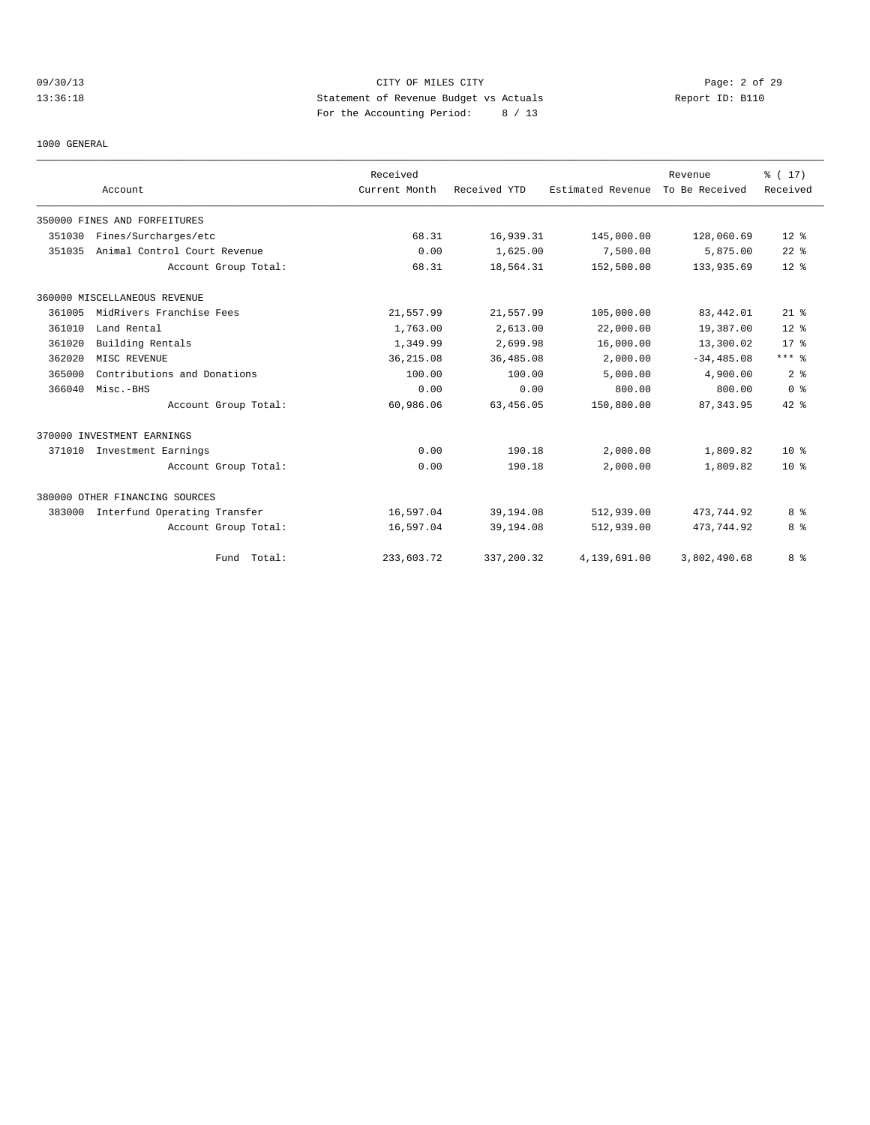# 09/30/13 CITY OF MILES CITY Page: 2 of 29 13:36:18 Statement of Revenue Budget vs Actuals Report ID: B110 For the Accounting Period: 8 / 13

1000 GENERAL

|        |                                     | Received      |              |                   | Revenue        | % (17)          |
|--------|-------------------------------------|---------------|--------------|-------------------|----------------|-----------------|
|        | Account                             | Current Month | Received YTD | Estimated Revenue | To Be Received | Received        |
|        | 350000 FINES AND FORFEITURES        |               |              |                   |                |                 |
| 351030 | Fines/Surcharges/etc                | 68.31         | 16,939.31    | 145,000.00        | 128,060.69     | $12*$           |
| 351035 | Animal Control Court Revenue        | 0.00          | 1,625.00     | 7,500.00          | 5,875.00       | $22$ %          |
|        | Account Group Total:                | 68.31         | 18,564.31    | 152,500.00        | 133,935.69     | $12*$           |
|        | 360000 MISCELLANEOUS REVENUE        |               |              |                   |                |                 |
| 361005 | MidRivers Franchise Fees            | 21,557.99     | 21,557.99    | 105,000.00        | 83,442.01      | $21$ %          |
| 361010 | Land Rental                         | 1,763.00      | 2,613.00     | 22,000.00         | 19,387.00      | $12*$           |
| 361020 | Building Rentals                    | 1,349.99      | 2,699.98     | 16,000.00         | 13,300.02      | $17*$           |
| 362020 | MISC REVENUE                        | 36, 215.08    | 36,485.08    | 2,000.00          | $-34, 485.08$  | $***$ $%$       |
| 365000 | Contributions and Donations         | 100.00        | 100.00       | 5,000.00          | 4,900.00       | 2 <sup>°</sup>  |
| 366040 | Misc.-BHS                           | 0.00          | 0.00         | 800.00            | 800.00         | 0 <sup>8</sup>  |
|        | Account Group Total:                | 60,986.06     | 63,456.05    | 150,800.00        | 87, 343.95     | 42 %            |
|        | 370000 INVESTMENT EARNINGS          |               |              |                   |                |                 |
| 371010 | Investment Earnings                 | 0.00          | 190.18       | 2,000.00          | 1,809.82       | 10 <sup>8</sup> |
|        | Account Group Total:                | 0.00          | 190.18       | 2,000.00          | 1,809.82       | 10 <sup>8</sup> |
|        | 380000 OTHER FINANCING SOURCES      |               |              |                   |                |                 |
|        | 383000 Interfund Operating Transfer | 16,597.04     | 39,194.08    | 512,939.00        | 473,744.92     | 8%              |
|        | Account Group Total:                | 16,597.04     | 39,194.08    | 512,939.00        | 473,744.92     | 8 %             |
|        | Fund Total:                         | 233,603.72    | 337,200.32   | 4,139,691.00      | 3,802,490.68   | 8 %             |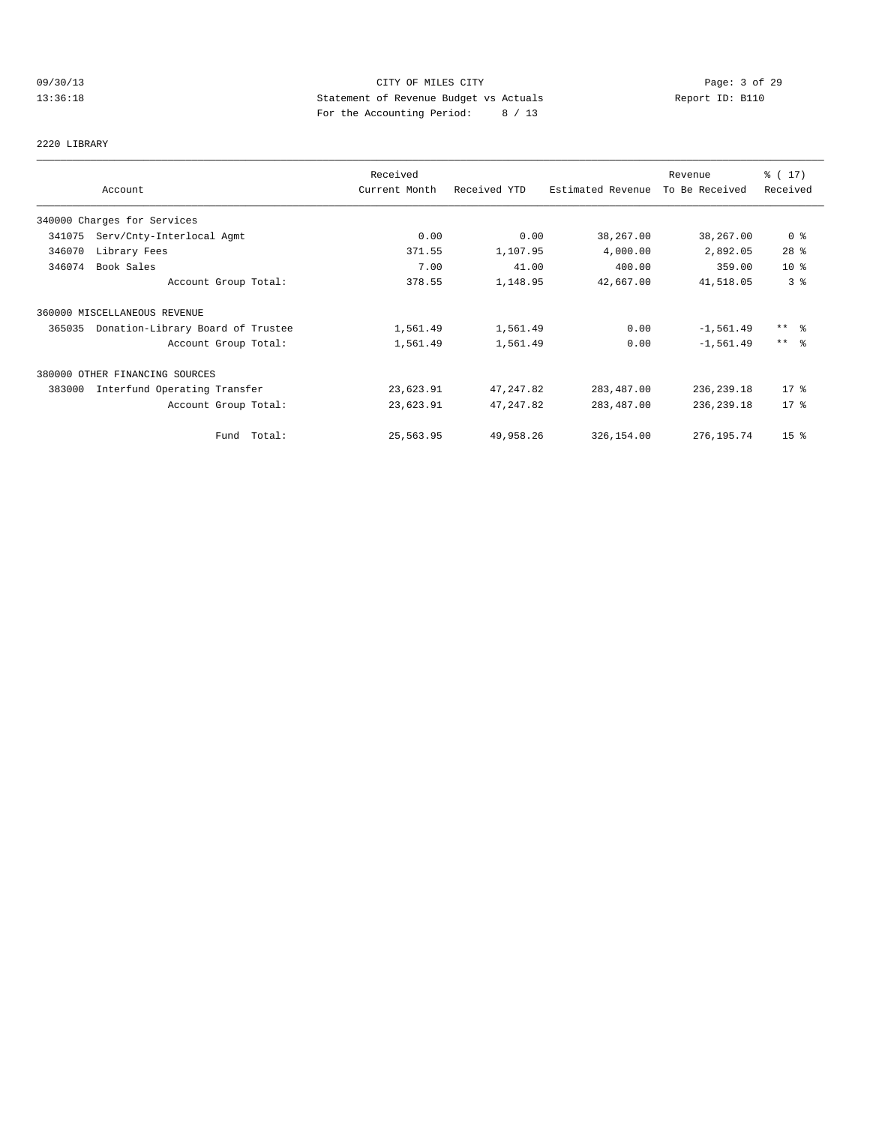# 09/30/13 CITY OF MILES CITY Page: 3 of 29 13:36:18 Statement of Revenue Budget vs Actuals Report ID: B110<br>Report ID: B110 For the Accounting Period: 8 / 13

#### 2220 LIBRARY

|                      |                                   | Received      |              |                   | Revenue        | % (17)          |
|----------------------|-----------------------------------|---------------|--------------|-------------------|----------------|-----------------|
|                      | Account                           | Current Month | Received YTD | Estimated Revenue | To Be Received | Received        |
|                      | 340000 Charges for Services       |               |              |                   |                |                 |
| 341075               | Serv/Cnty-Interlocal Agmt         | 0.00          | 0.00         | 38,267.00         | 38,267.00      | 0 <sup>8</sup>  |
| 346070               | Library Fees                      | 371.55        | 1,107.95     | 4,000.00          | 2,892.05       | $28$ %          |
| Book Sales<br>346074 |                                   | 7.00          | 41.00        | 400.00            | 359.00         | 10 <sup>8</sup> |
|                      | Account Group Total:              | 378.55        | 1,148.95     | 42,667.00         | 41,518.05      | 3%              |
|                      | 360000 MISCELLANEOUS REVENUE      |               |              |                   |                |                 |
| 365035               | Donation-Library Board of Trustee | 1,561.49      | 1,561.49     | 0.00              | $-1,561.49$    | $***$ %         |
|                      | Account Group Total:              | 1,561.49      | 1,561.49     | 0.00              | $-1, 561.49$   | $***$ $\approx$ |
|                      | 380000 OTHER FINANCING SOURCES    |               |              |                   |                |                 |
| 383000               | Interfund Operating Transfer      | 23,623.91     | 47, 247.82   | 283, 487.00       | 236, 239.18    | $17$ %          |
|                      | Account Group Total:              | 23,623.91     | 47, 247.82   | 283, 487.00       | 236, 239.18    | $17$ %          |
|                      | Fund Total:                       | 25,563.95     | 49,958.26    | 326,154.00        | 276, 195.74    | 15 <sup>8</sup> |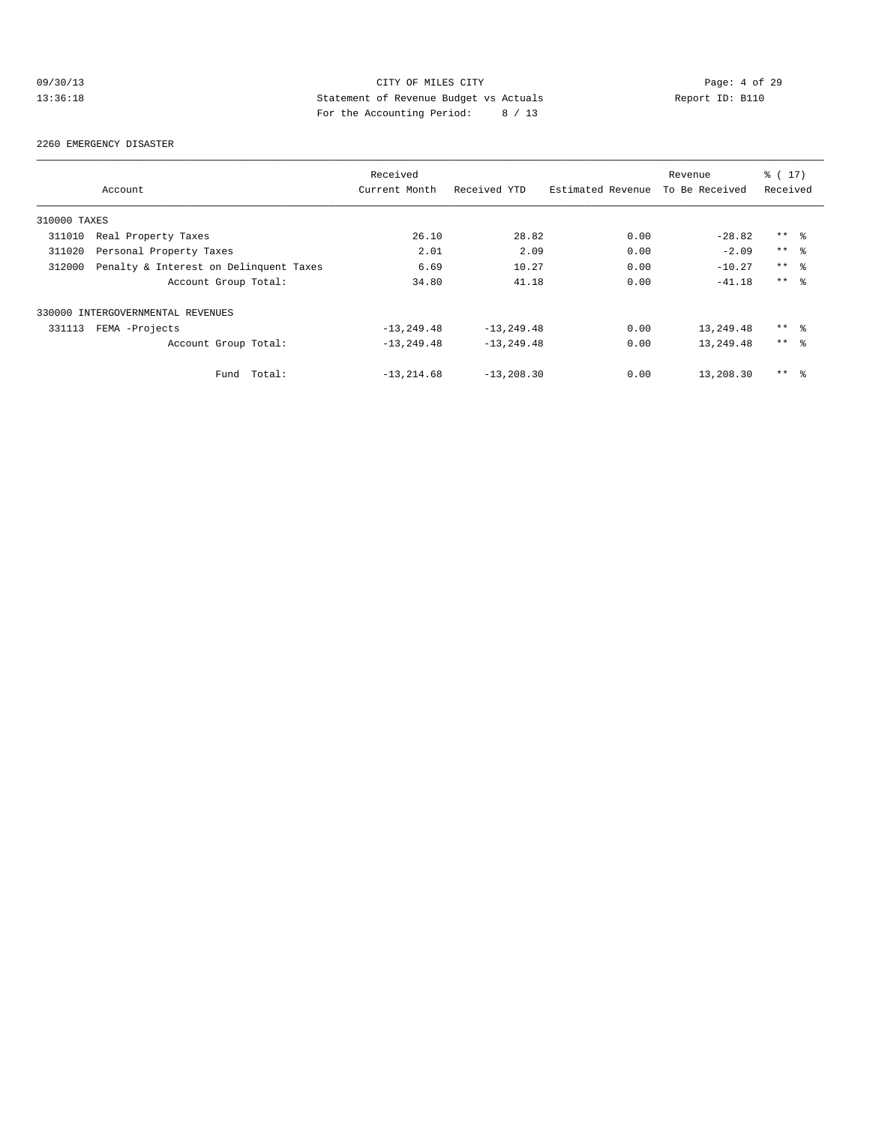# 09/30/13 CITY OF MILES CITY Page: 4 of 29 13:36:18 Statement of Revenue Budget vs Actuals Report ID: B110<br>Report ID: B110 For the Accounting Period: 8 / 13

#### 2260 EMERGENCY DISASTER

|              |                                        | Received      |                |                   | Revenue        | % (17)          |  |
|--------------|----------------------------------------|---------------|----------------|-------------------|----------------|-----------------|--|
|              | Account                                | Current Month | Received YTD   | Estimated Revenue | To Be Received | Received        |  |
| 310000 TAXES |                                        |               |                |                   |                |                 |  |
| 311010       | Real Property Taxes                    | 26.10         | 28.82          | 0.00              | $-28.82$       | $***$ %         |  |
| 311020       | Personal Property Taxes                | 2.01          | 2.09           | 0.00              | $-2.09$        | $***$ 8         |  |
| 312000       | Penalty & Interest on Delinquent Taxes | 6.69          | 10.27          | 0.00              | $-10.27$       | $***$ %         |  |
|              | Account Group Total:                   | 34.80         | 41.18          | 0.00              | $-41.18$       | $***$ $\approx$ |  |
|              | 330000 INTERGOVERNMENTAL REVENUES      |               |                |                   |                |                 |  |
| 331113       | FEMA -Projects                         | $-13, 249.48$ | $-13, 249.48$  | 0.00              | 13,249.48      | $***$ %         |  |
|              | Account Group Total:                   | $-13, 249.48$ | $-13, 249.48$  | 0.00              | 13,249.48      | $***$ $ -$      |  |
|              | Total:<br>Fund                         | $-13, 214.68$ | $-13, 208, 30$ | 0.00              | 13,208.30      | $***$ $\approx$ |  |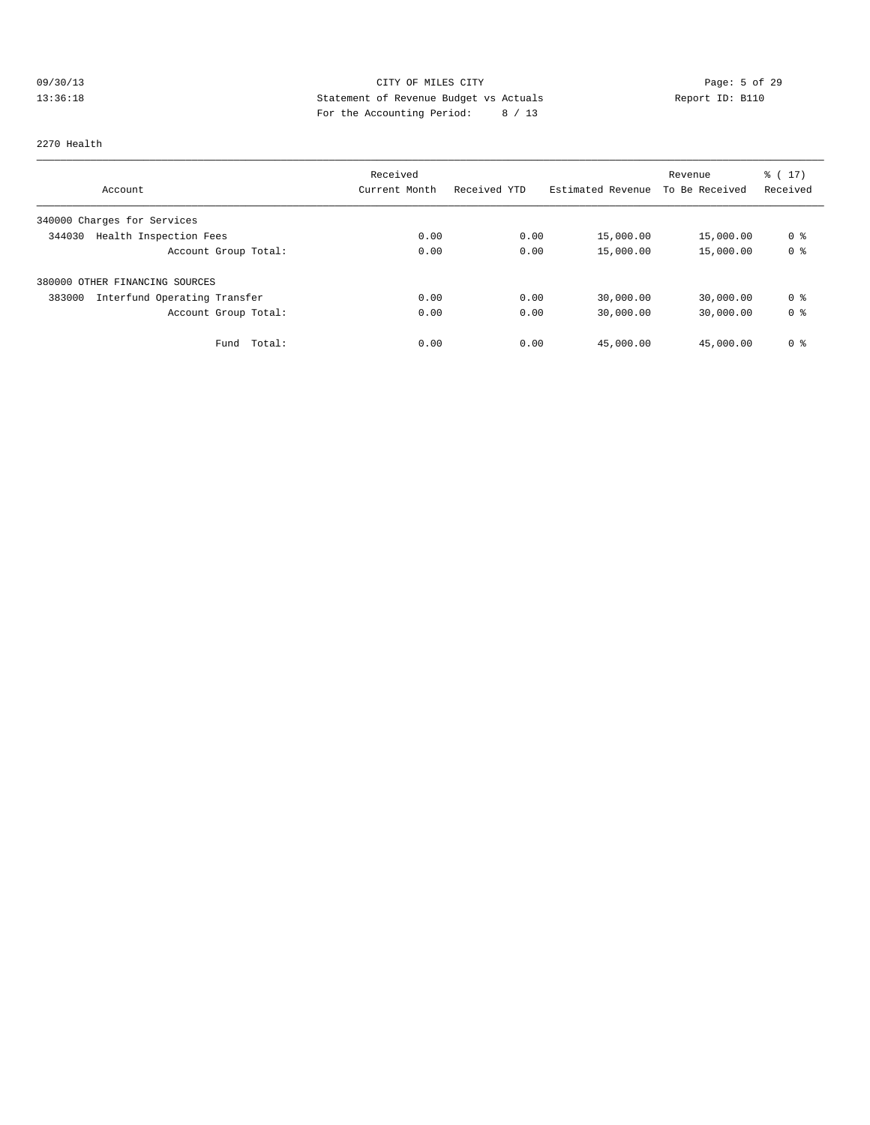# 09/30/13 Page: 5 of 29 13:36:18 Statement of Revenue Budget vs Actuals Report ID: B110<br>Report ID: B110 For the Accounting Period: 8 / 13

#### 2270 Health

|                                        | Received      |              |                   | Revenue        | $\frac{1}{6}$ ( 17 ) |
|----------------------------------------|---------------|--------------|-------------------|----------------|----------------------|
| Account                                | Current Month | Received YTD | Estimated Revenue | To Be Received | Received             |
| 340000 Charges for Services            |               |              |                   |                |                      |
| Health Inspection Fees<br>344030       | 0.00          | 0.00         | 15,000.00         | 15,000.00      | 0 <sup>8</sup>       |
| Account Group Total:                   | 0.00          | 0.00         | 15,000.00         | 15,000.00      | 0 <sup>8</sup>       |
| 380000 OTHER FINANCING SOURCES         |               |              |                   |                |                      |
| 383000<br>Interfund Operating Transfer | 0.00          | 0.00         | 30,000.00         | 30,000.00      | 0 %                  |
| Account Group Total:                   | 0.00          | 0.00         | 30,000.00         | 30,000.00      | 0 <sup>8</sup>       |
| Total:<br>Fund                         | 0.00          | 0.00         | 45,000.00         | 45,000.00      | 0 <sup>8</sup>       |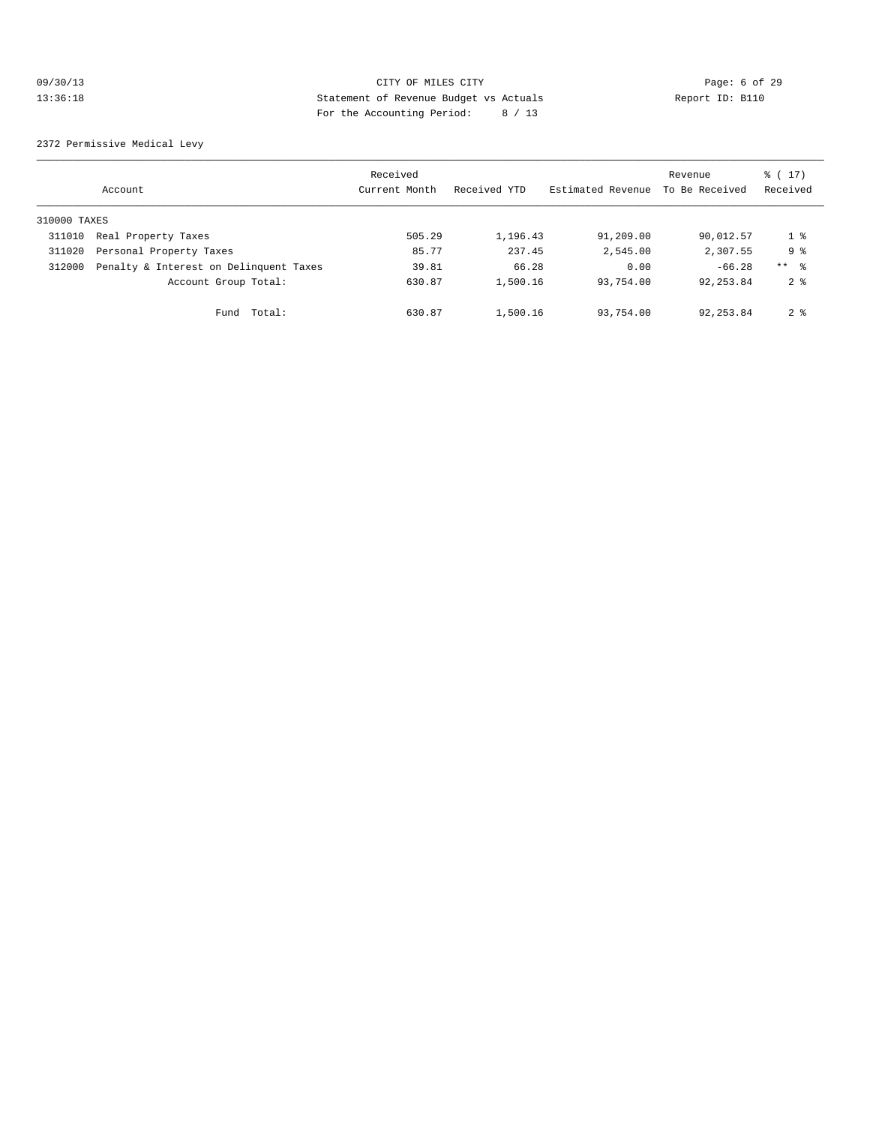# 09/30/13 CITY OF MILES CITY Page: 6 of 29 13:36:18 Statement of Revenue Budget vs Actuals Report ID: B110 For the Accounting Period: 8 / 13

2372 Permissive Medical Levy

|              | Account                                | Received<br>Current Month | Received YTD | Estimated Revenue | Revenue<br>To Be Received | $\frac{1}{6}$ ( 17 )<br>Received |
|--------------|----------------------------------------|---------------------------|--------------|-------------------|---------------------------|----------------------------------|
| 310000 TAXES |                                        |                           |              |                   |                           |                                  |
| 311010       | Real Property Taxes                    | 505.29                    | 1,196.43     | 91,209.00         | 90,012.57                 | 1 %                              |
| 311020       | Personal Property Taxes                | 85.77                     | 237.45       | 2,545.00          | 2,307.55                  | 9 %                              |
| 312000       | Penalty & Interest on Delinquent Taxes | 39.81                     | 66.28        | 0.00              | $-66.28$                  | $***$ $\approx$                  |
|              | Account Group Total:                   | 630.87                    | 1,500.16     | 93,754.00         | 92, 253.84                | 2 <sup>8</sup>                   |
|              | Fund Total:                            | 630.87                    | 1,500.16     | 93,754.00         | 92, 253.84                | 2 <sub>8</sub>                   |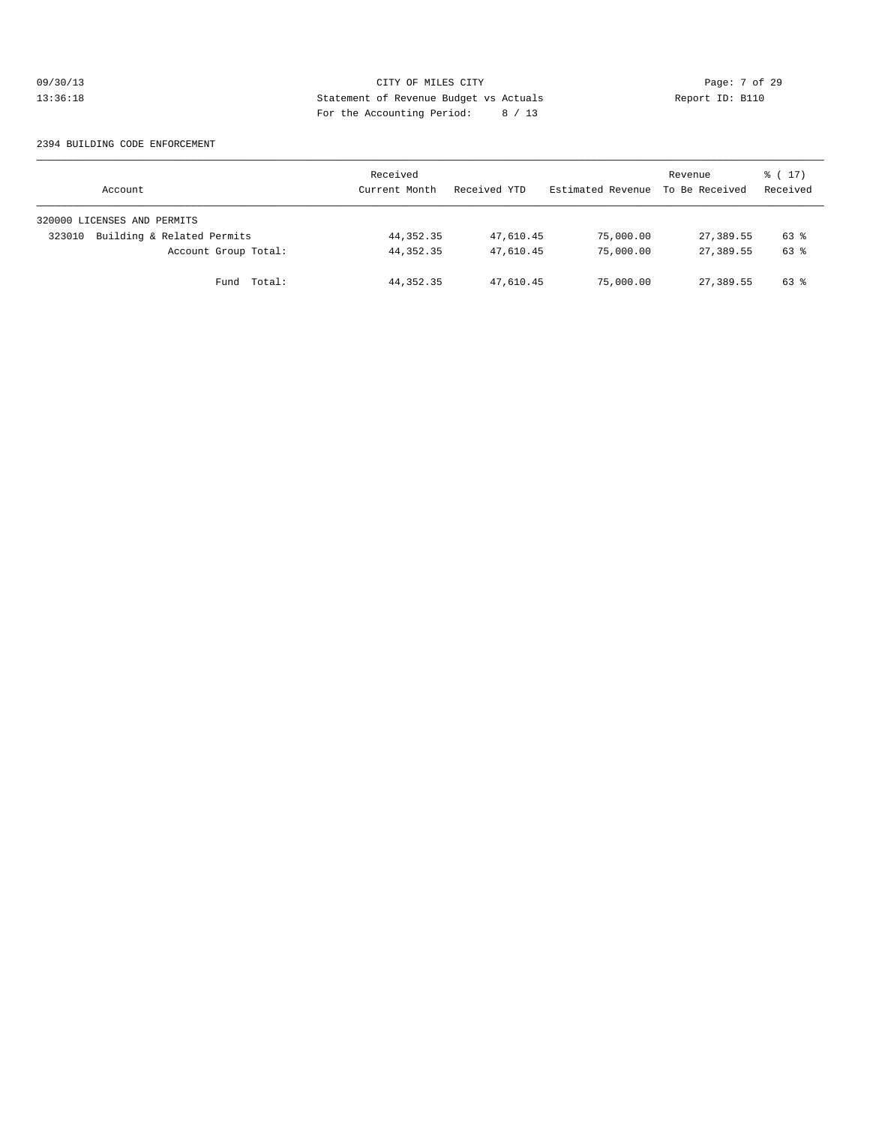# 09/30/13 Page: 7 of 29 13:36:18 Statement of Revenue Budget vs Actuals Report ID: B110 For the Accounting Period: 8 / 13

#### 2394 BUILDING CODE ENFORCEMENT

| Account                              | Received<br>Current Month | Received YTD | Estimated Revenue | Revenue<br>To Be Received | $\frac{1}{6}$ (17)<br>Received |
|--------------------------------------|---------------------------|--------------|-------------------|---------------------------|--------------------------------|
| 320000 LICENSES AND PERMITS          |                           |              |                   |                           |                                |
| Building & Related Permits<br>323010 | 44, 352.35                | 47,610.45    | 75,000.00         | 27,389.55                 | 63 %                           |
| Account Group Total:                 | 44,352.35                 | 47,610.45    | 75,000.00         | 27,389.55                 | 63 %                           |
| Fund Total:                          | 44,352.35                 | 47,610.45    | 75,000.00         | 27,389.55                 | 63 %                           |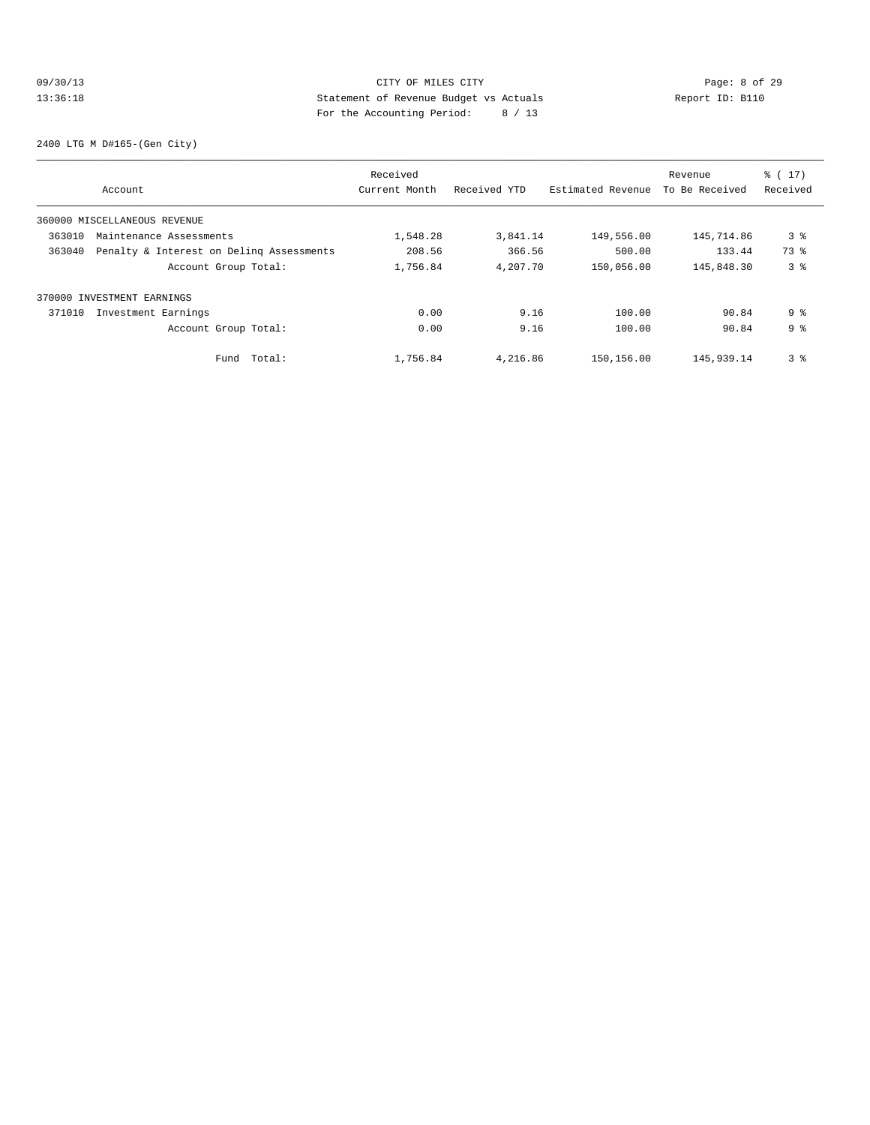# 09/30/13 CITY OF MILES CITY Page: 8 of 29 13:36:18 Statement of Revenue Budget vs Actuals Report ID: B110 For the Accounting Period: 8 / 13

2400 LTG M D#165-(Gen City)

|        |                                          | Received      |              |                   | Revenue        | $\frac{1}{6}$ ( 17 ) |
|--------|------------------------------------------|---------------|--------------|-------------------|----------------|----------------------|
|        | Account                                  | Current Month | Received YTD | Estimated Revenue | To Be Received | Received             |
|        | 360000 MISCELLANEOUS REVENUE             |               |              |                   |                |                      |
| 363010 | Maintenance Assessments                  | 1,548.28      | 3,841.14     | 149,556.00        | 145,714.86     | 3 %                  |
| 363040 | Penalty & Interest on Deling Assessments | 208.56        | 366.56       | 500.00            | 133.44         | 73 %                 |
|        | Account Group Total:                     | 1,756.84      | 4,207.70     | 150,056.00        | 145,848.30     | 3%                   |
|        | 370000 INVESTMENT EARNINGS               |               |              |                   |                |                      |
| 371010 | Investment Earnings                      | 0.00          | 9.16         | 100.00            | 90.84          | 9%                   |
|        | Account Group Total:                     | 0.00          | 9.16         | 100.00            | 90.84          | 9 <sup>8</sup>       |
|        | Total:<br>Fund                           | 1,756.84      | 4,216.86     | 150,156.00        | 145,939.14     | 3%                   |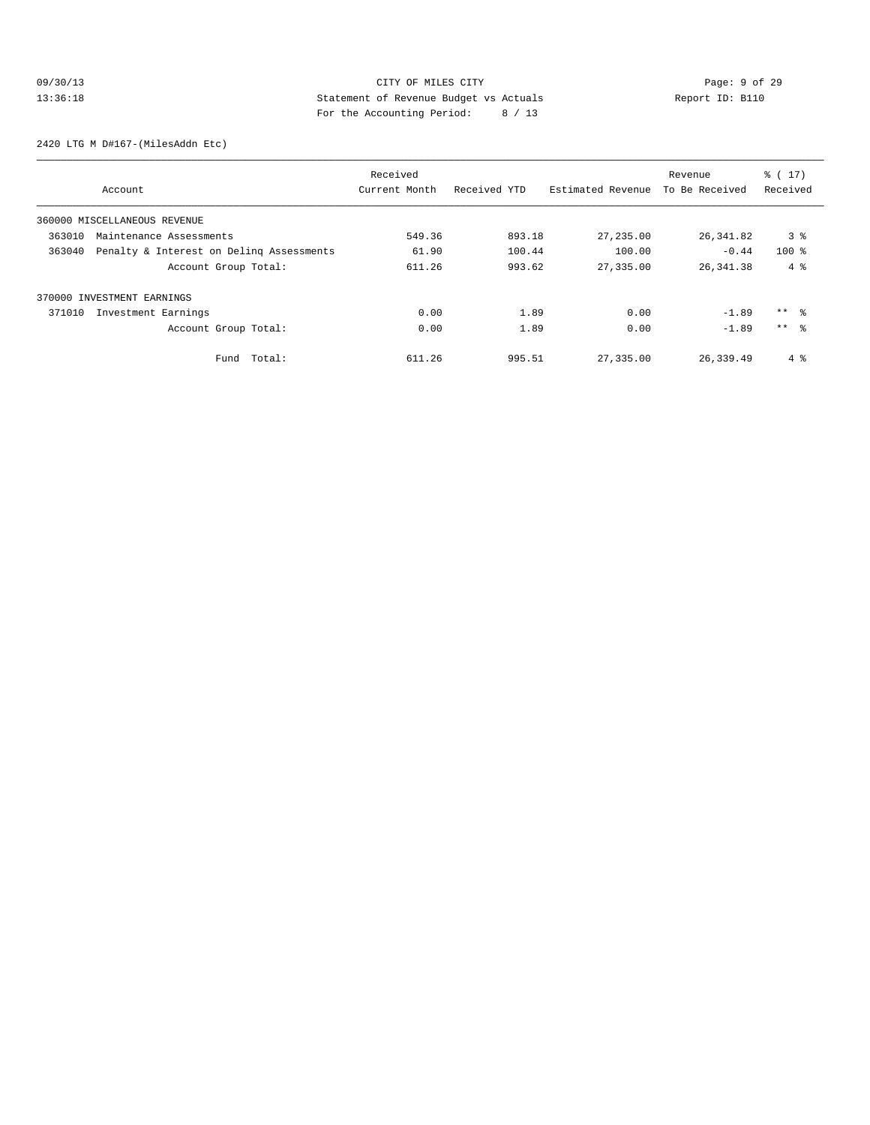# 09/30/13 Page: 9 of 29 13:36:18 Statement of Revenue Budget vs Actuals Report ID: B110 For the Accounting Period: 8 / 13

2420 LTG M D#167-(MilesAddn Etc)

|                                                    | Received      |              |                   | Revenue        | $\frac{1}{6}$ ( 17 ) |
|----------------------------------------------------|---------------|--------------|-------------------|----------------|----------------------|
| Account                                            | Current Month | Received YTD | Estimated Revenue | To Be Received | Received             |
| 360000 MISCELLANEOUS REVENUE                       |               |              |                   |                |                      |
| 363010<br>Maintenance Assessments                  | 549.36        | 893.18       | 27,235.00         | 26,341.82      | 38                   |
| Penalty & Interest on Deling Assessments<br>363040 | 61.90         | 100.44       | 100.00            | $-0.44$        | $100$ %              |
| Account Group Total:                               | 611.26        | 993.62       | 27,335.00         | 26,341.38      | $4\degree$           |
| 370000 INVESTMENT EARNINGS                         |               |              |                   |                |                      |
| 371010<br>Investment Earnings                      | 0.00          | 1.89         | 0.00              | $-1.89$        | $***$ %              |
| Account Group Total:                               | 0.00          | 1.89         | 0.00              | $-1.89$        | $***$ $\approx$      |
| Total:<br>Fund                                     | 611.26        | 995.51       | 27,335.00         | 26,339.49      | $4\degree$           |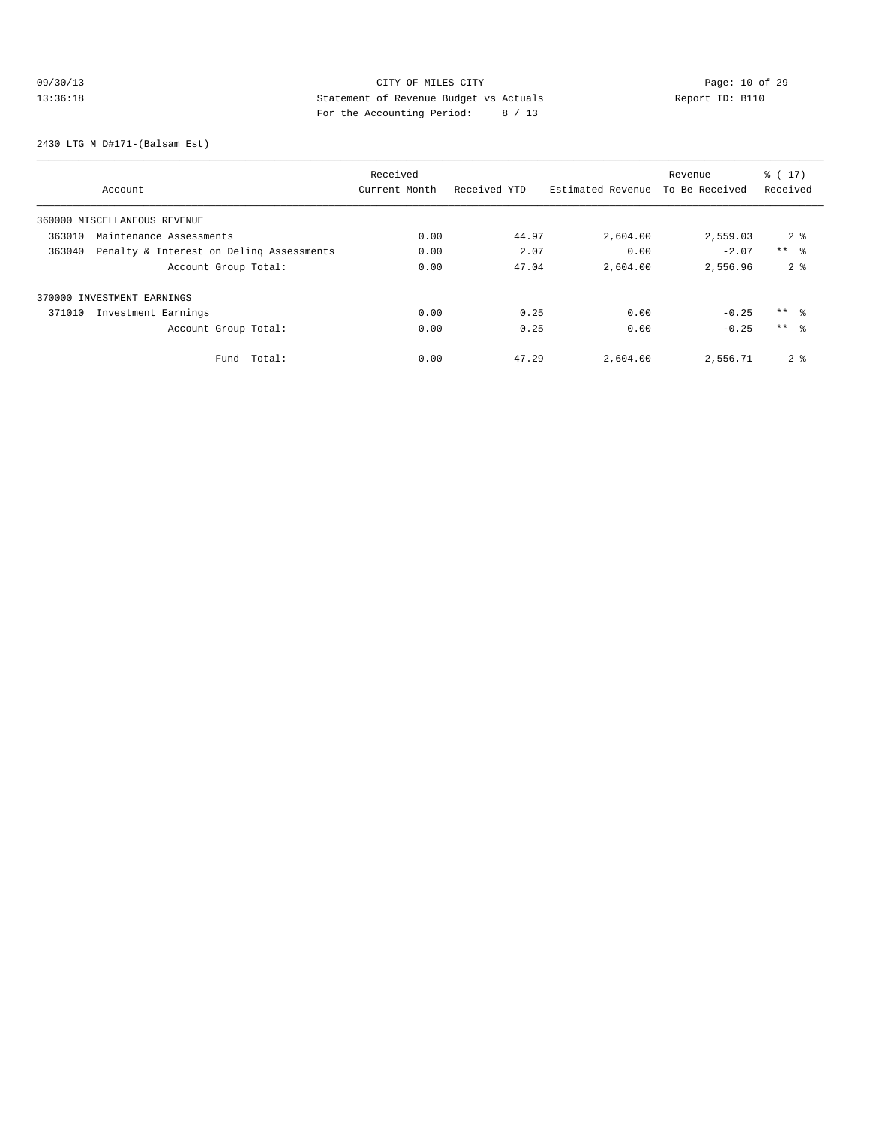# 09/30/13 Page: 10 of 29 13:36:18 Statement of Revenue Budget vs Actuals Report ID: B110 For the Accounting Period: 8 / 13

2430 LTG M D#171-(Balsam Est)

|                                                    | Received      |              |                   | Revenue        | $\frac{1}{6}$ ( 17 ) |
|----------------------------------------------------|---------------|--------------|-------------------|----------------|----------------------|
| Account                                            | Current Month | Received YTD | Estimated Revenue | To Be Received | Received             |
| 360000 MISCELLANEOUS REVENUE                       |               |              |                   |                |                      |
| 363010<br>Maintenance Assessments                  | 0.00          | 44.97        | 2,604.00          | 2,559.03       | 2 <sup>8</sup>       |
| Penalty & Interest on Deling Assessments<br>363040 | 0.00          | 2.07         | 0.00              | $-2.07$        | $***$ $ -$           |
| Account Group Total:                               | 0.00          | 47.04        | 2,604.00          | 2,556.96       | 2 <sup>8</sup>       |
| 370000 INVESTMENT EARNINGS                         |               |              |                   |                |                      |
| 371010<br>Investment Earnings                      | 0.00          | 0.25         | 0.00              | $-0.25$        | $***$ %              |
| Account Group Total:                               | 0.00          | 0.25         | 0.00              | $-0.25$        | $***$ $\approx$      |
| Total:<br>Fund                                     | 0.00          | 47.29        | 2,604.00          | 2,556.71       | 2 <sub>8</sub>       |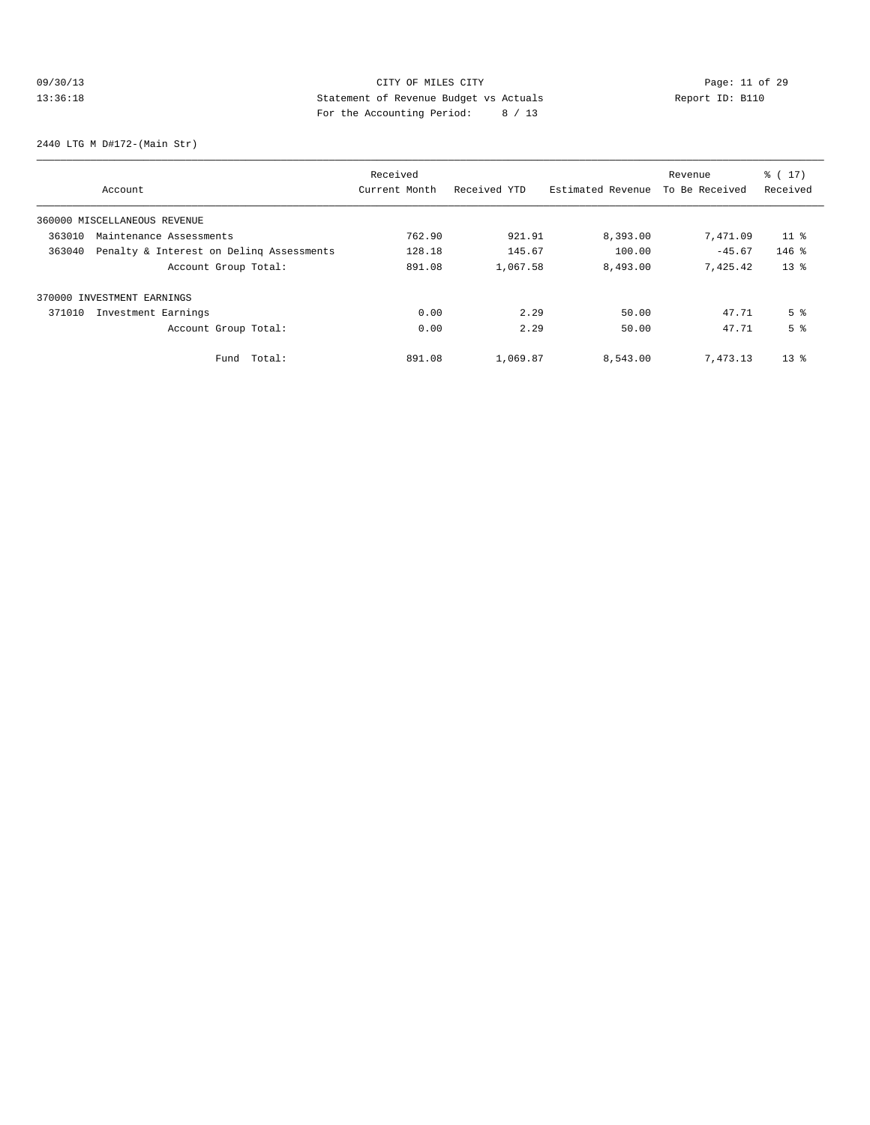# 09/30/13 CITY OF MILES CITY<br>13:36:18 Determine the contract of Revenue Budget vs Actuals<br>13:36:18 Report ID: B110 13:36:18 Statement of Revenue Budget vs Actuals Report ID: B110 For the Accounting Period: 8 / 13

2440 LTG M D#172-(Main Str)

|        |                                          | Received      |              |                   | Revenue        | $\frac{1}{6}$ ( 17 ) |
|--------|------------------------------------------|---------------|--------------|-------------------|----------------|----------------------|
|        | Account                                  | Current Month | Received YTD | Estimated Revenue | To Be Received | Received             |
|        | 360000 MISCELLANEOUS REVENUE             |               |              |                   |                |                      |
| 363010 | Maintenance Assessments                  | 762.90        | 921.91       | 8,393.00          | 7,471.09       | $11$ %               |
| 363040 | Penalty & Interest on Deling Assessments | 128.18        | 145.67       | 100.00            | $-45.67$       | $146$ %              |
|        | Account Group Total:                     | 891.08        | 1,067.58     | 8,493.00          | 7.425.42       | $13*$                |
|        | 370000 INVESTMENT EARNINGS               |               |              |                   |                |                      |
| 371010 | Investment Earnings                      | 0.00          | 2.29         | 50.00             | 47.71          | 5 <sup>8</sup>       |
|        | Account Group Total:                     | 0.00          | 2.29         | 50.00             | 47.71          | 5 <sup>8</sup>       |
|        | Total:<br>Fund                           | 891.08        | 1,069.87     | 8,543.00          | 7,473.13       | $13*$                |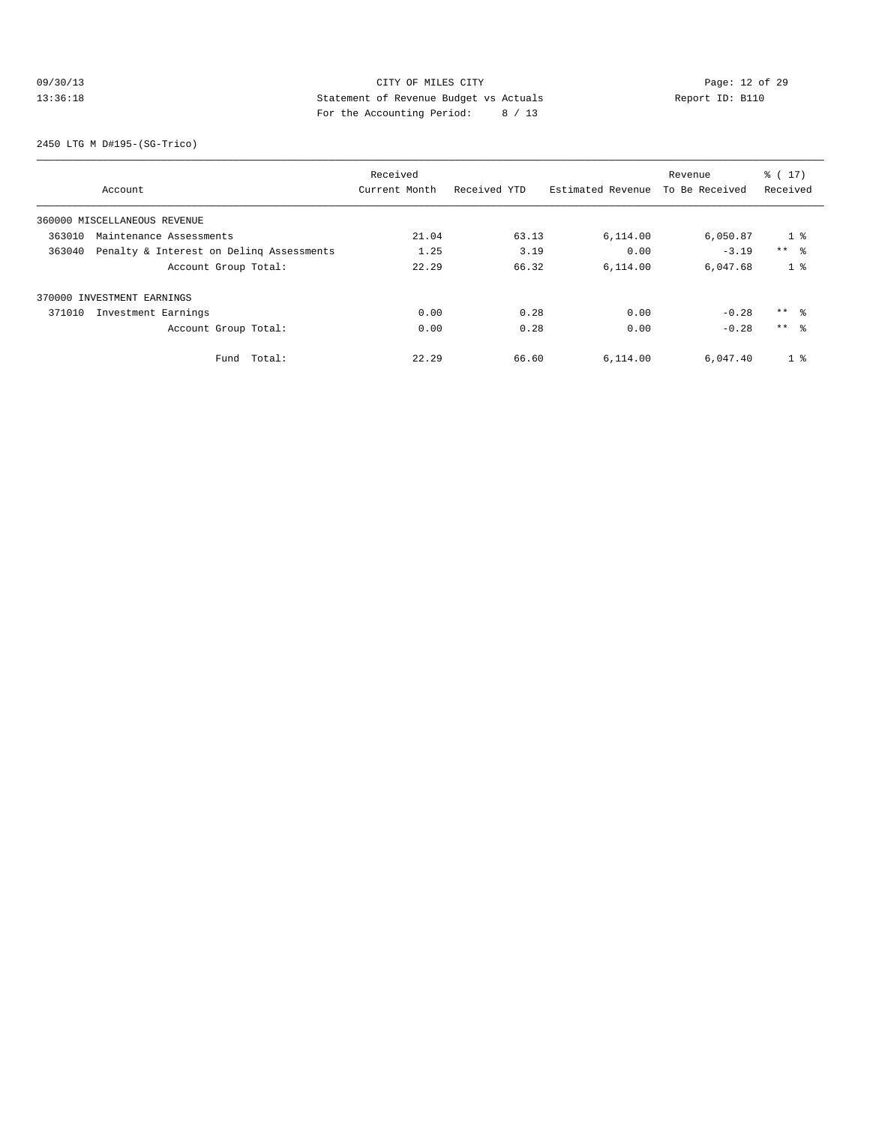# 09/30/13 Page: 12 of 29 13:36:18 Statement of Revenue Budget vs Actuals Report ID: B110 For the Accounting Period: 8 / 13

2450 LTG M D#195-(SG-Trico)

|                                                    | Received      |              |                   | Revenue        | $\frac{1}{6}$ ( 17 ) |
|----------------------------------------------------|---------------|--------------|-------------------|----------------|----------------------|
| Account                                            | Current Month | Received YTD | Estimated Revenue | To Be Received | Received             |
| 360000 MISCELLANEOUS REVENUE                       |               |              |                   |                |                      |
| 363010<br>Maintenance Assessments                  | 21.04         | 63.13        | 6,114.00          | 6,050.87       | 1 <sup>8</sup>       |
| Penalty & Interest on Deling Assessments<br>363040 | 1.25          | 3.19         | 0.00              | $-3.19$        | $***$ $ -$           |
| Account Group Total:                               | 22.29         | 66.32        | 6,114.00          | 6,047.68       | 1 <sup>8</sup>       |
| 370000 INVESTMENT EARNINGS                         |               |              |                   |                |                      |
| 371010<br>Investment Earnings                      | 0.00          | 0.28         | 0.00              | $-0.28$        | $***$ %              |
| Account Group Total:                               | 0.00          | 0.28         | 0.00              | $-0.28$        | $***$ $\approx$      |
| Total:<br>Fund                                     | 22.29         | 66.60        | 6,114.00          | 6,047.40       | 1 <sup>8</sup>       |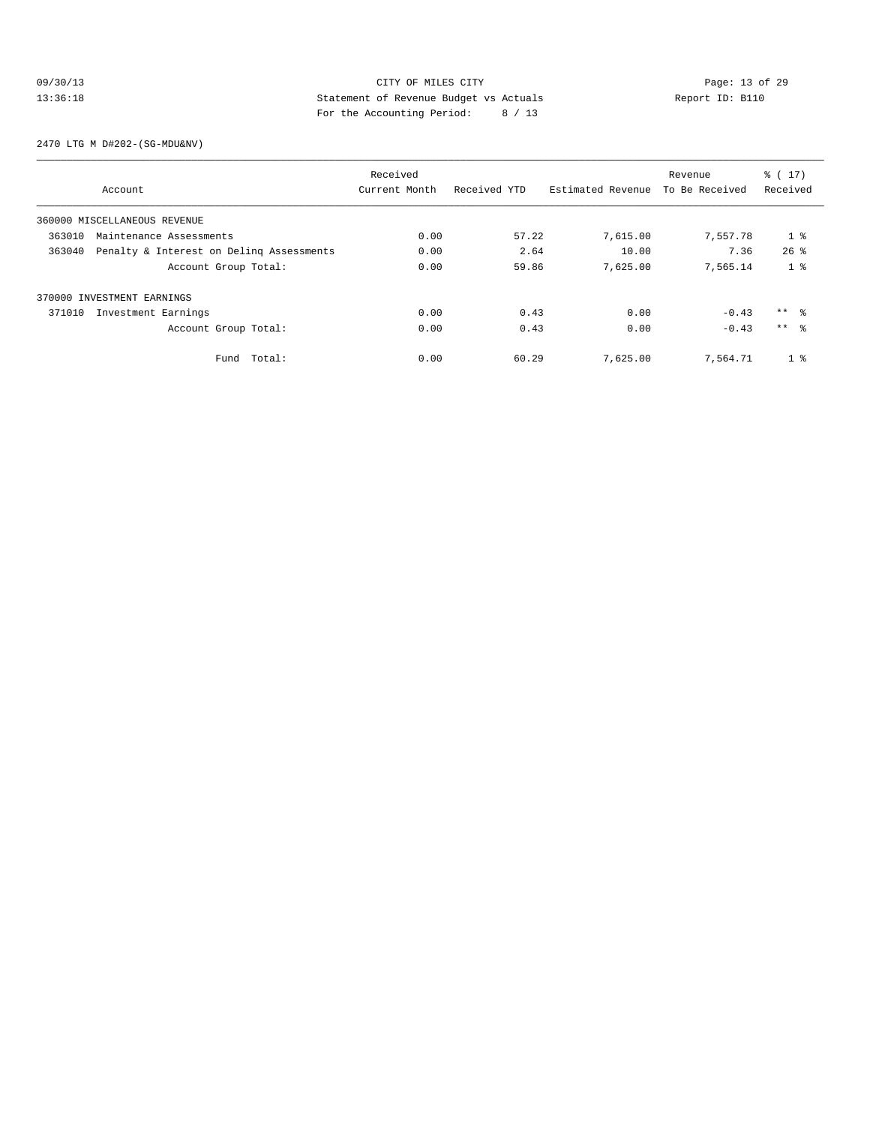# 09/30/13 Page: 13 of 29 13:36:18 Statement of Revenue Budget vs Actuals Report ID: B110 For the Accounting Period: 8 / 13

2470 LTG M D#202-(SG-MDU&NV)

|                                                    | Received      |              |                   | Revenue        | $\frac{1}{6}$ ( 17 ) |
|----------------------------------------------------|---------------|--------------|-------------------|----------------|----------------------|
| Account                                            | Current Month | Received YTD | Estimated Revenue | To Be Received | Received             |
| 360000 MISCELLANEOUS REVENUE                       |               |              |                   |                |                      |
| 363010<br>Maintenance Assessments                  | 0.00          | 57.22        | 7,615.00          | 7,557.78       | 1 <sup>8</sup>       |
| Penalty & Interest on Deling Assessments<br>363040 | 0.00          | 2.64         | 10.00             | 7.36           | $26$ %               |
| Account Group Total:                               | 0.00          | 59.86        | 7,625.00          | 7,565.14       | 1 <sup>8</sup>       |
| 370000 INVESTMENT EARNINGS                         |               |              |                   |                |                      |
| 371010<br>Investment Earnings                      | 0.00          | 0.43         | 0.00              | $-0.43$        | $***$ 8              |
| Account Group Total:                               | 0.00          | 0.43         | 0.00              | $-0.43$        | $***$ $\approx$      |
| Total:<br>Fund                                     | 0.00          | 60.29        | 7,625.00          | 7,564.71       | 1 <sup>8</sup>       |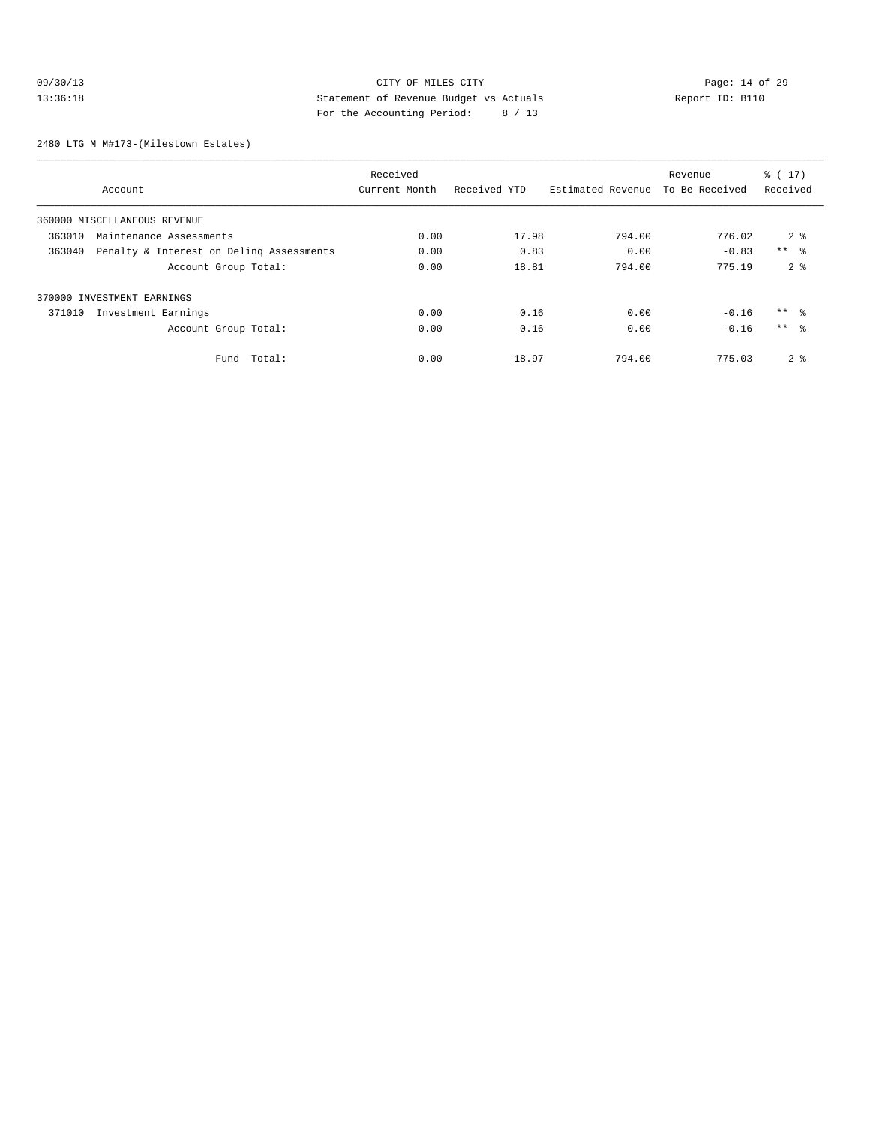# 09/30/13 Page: 14 of 29 13:36:18 Statement of Revenue Budget vs Actuals Report ID: B110<br>Report ID: B110 For the Accounting Period: 8 / 13

2480 LTG M M#173-(Milestown Estates)

|                                                    | Received      |              |                   | Revenue        | $\frac{1}{6}$ (17) |
|----------------------------------------------------|---------------|--------------|-------------------|----------------|--------------------|
| Account                                            | Current Month | Received YTD | Estimated Revenue | To Be Received | Received           |
| 360000 MISCELLANEOUS REVENUE                       |               |              |                   |                |                    |
| 363010<br>Maintenance Assessments                  | 0.00          | 17.98        | 794.00            | 776.02         | 2 <sup>8</sup>     |
| Penalty & Interest on Deling Assessments<br>363040 | 0.00          | 0.83         | 0.00              | $-0.83$        | $***$ $ -$         |
| Account Group Total:                               | 0.00          | 18.81        | 794.00            | 775.19         | 2 <sup>8</sup>     |
| 370000 INVESTMENT EARNINGS                         |               |              |                   |                |                    |
| 371010<br>Investment Earnings                      | 0.00          | 0.16         | 0.00              | $-0.16$        | $***$ $\approx$    |
| Account Group Total:                               | 0.00          | 0.16         | 0.00              | $-0.16$        | $***$ 8            |
| Total:<br>Fund                                     | 0.00          | 18.97        | 794.00            | 775.03         | 2 <sup>8</sup>     |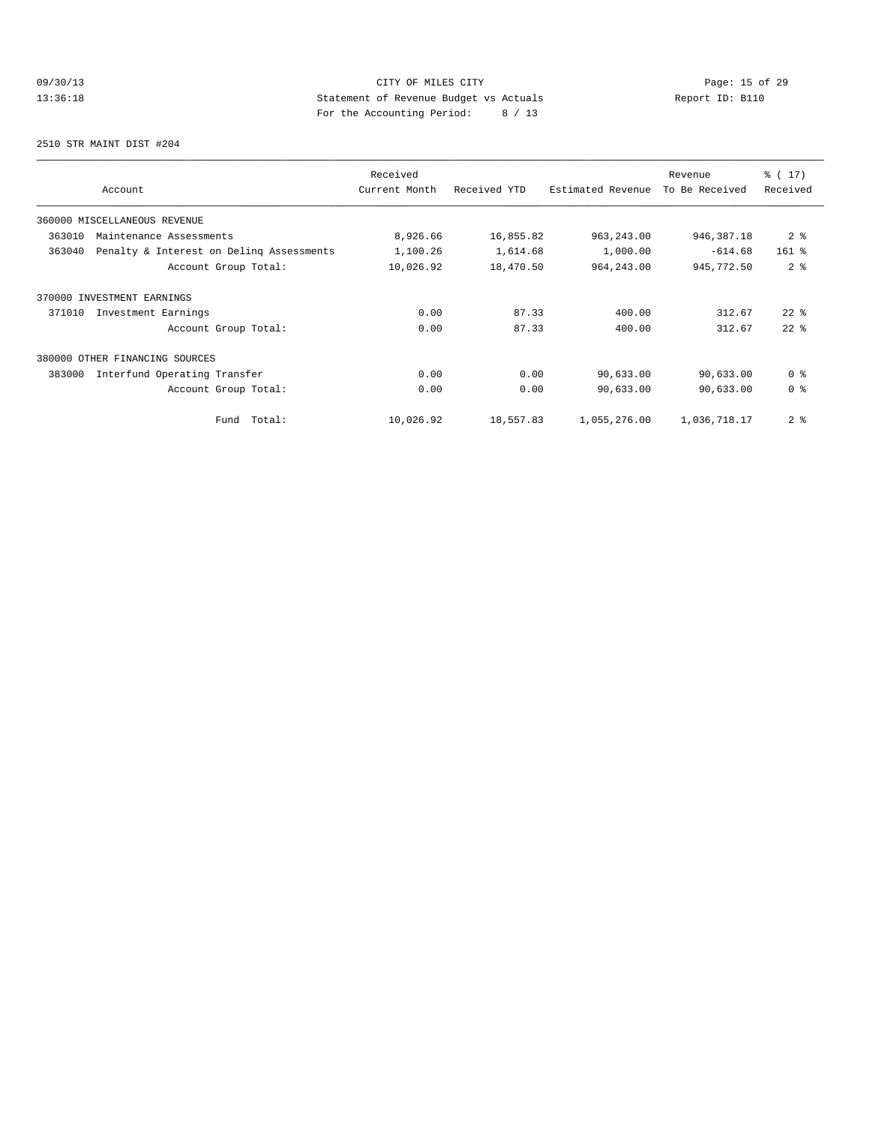# 09/30/13 Page: 15 of 29 13:36:18 Statement of Revenue Budget vs Actuals Report ID: B110 For the Accounting Period: 8 / 13

2510 STR MAINT DIST #204

| Account                                            | Received<br>Current Month | Received YTD | Estimated Revenue | Revenue<br>To Be Received | $\frac{1}{6}$ ( 17)<br>Received |
|----------------------------------------------------|---------------------------|--------------|-------------------|---------------------------|---------------------------------|
| 360000 MISCELLANEOUS REVENUE                       |                           |              |                   |                           |                                 |
| 363010<br>Maintenance Assessments                  | 8,926.66                  | 16,855.82    | 963, 243.00       | 946,387.18                | 2 <sub>8</sub>                  |
| 363040<br>Penalty & Interest on Deling Assessments | 1,100.26                  | 1,614.68     | 1,000.00          | $-614.68$                 | $161$ %                         |
| Account Group Total:                               | 10,026.92                 | 18,470.50    | 964, 243.00       | 945,772.50                | 2 <sup>8</sup>                  |
| 370000 INVESTMENT EARNINGS                         |                           |              |                   |                           |                                 |
| Investment Earnings<br>371010                      | 0.00                      | 87.33        | 400.00            | 312.67                    | $22$ $%$                        |
| Account Group Total:                               | 0.00                      | 87.33        | 400.00            | 312.67                    | $22$ $%$                        |
| 380000 OTHER FINANCING SOURCES                     |                           |              |                   |                           |                                 |
| 383000<br>Interfund Operating Transfer             | 0.00                      | 0.00         | 90,633.00         | 90,633.00                 | 0 <sup>8</sup>                  |
| Account Group Total:                               | 0.00                      | 0.00         | 90,633.00         | 90,633.00                 | 0 <sup>8</sup>                  |
| Fund Total:                                        | 10,026.92                 | 18,557.83    | 1,055,276.00      | 1,036,718.17              | 2 <sub>8</sub>                  |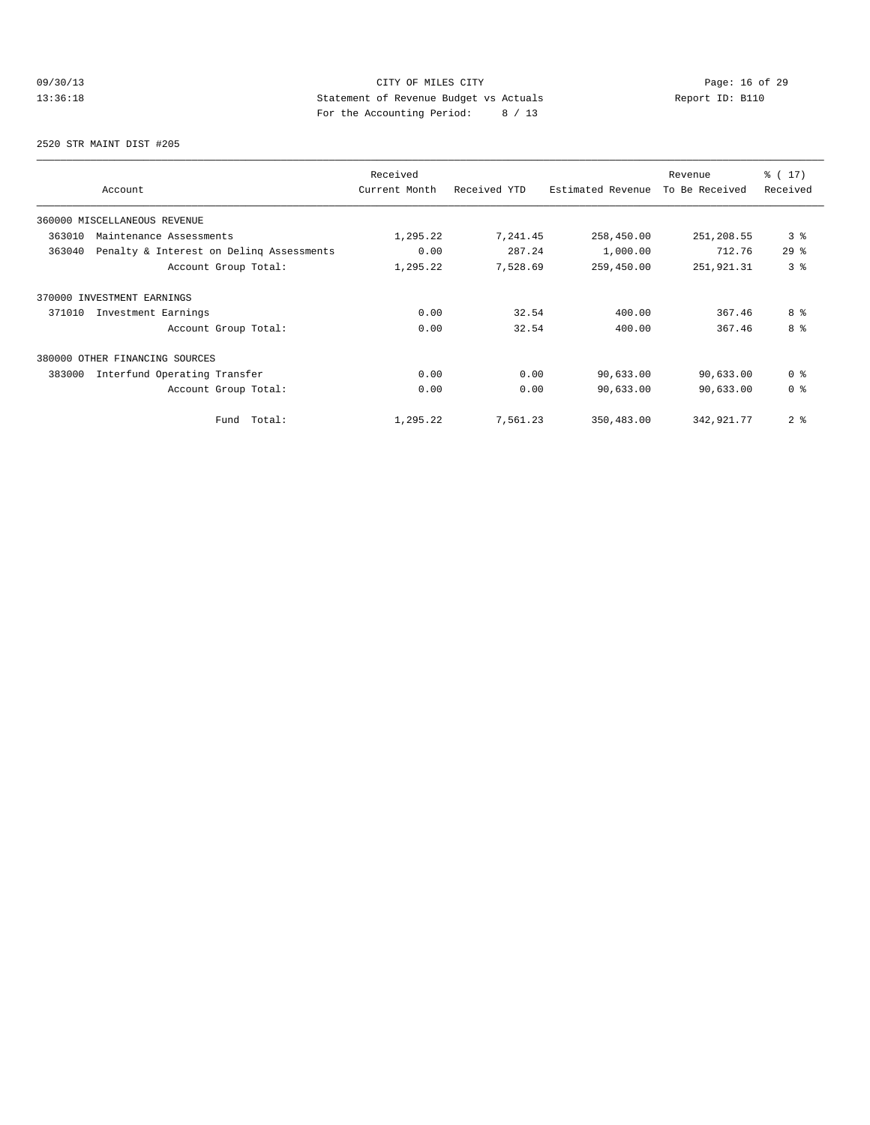# 09/30/13 Page: 16 of 29 13:36:18 Statement of Revenue Budget vs Actuals Report ID: B110 For the Accounting Period: 8 / 13

2520 STR MAINT DIST #205

| Account                                            | Received<br>Current Month | Received YTD | Estimated Revenue | Revenue<br>To Be Received | $\frac{1}{6}$ ( 17)<br>Received |
|----------------------------------------------------|---------------------------|--------------|-------------------|---------------------------|---------------------------------|
| 360000 MISCELLANEOUS REVENUE                       |                           |              |                   |                           |                                 |
| 363010<br>Maintenance Assessments                  | 1,295.22                  | 7,241.45     | 258,450.00        | 251,208.55                | 3%                              |
| Penalty & Interest on Deling Assessments<br>363040 | 0.00                      | 287.24       | 1,000.00          | 712.76                    | 298                             |
| Account Group Total:                               | 1,295.22                  | 7,528.69     | 259,450.00        | 251,921.31                | 38                              |
| 370000 INVESTMENT EARNINGS                         |                           |              |                   |                           |                                 |
| Investment Earnings<br>371010                      | 0.00                      | 32.54        | 400.00            | 367.46                    | 8 %                             |
| Account Group Total:                               | 0.00                      | 32.54        | 400.00            | 367.46                    | 8 %                             |
| 380000 OTHER FINANCING SOURCES                     |                           |              |                   |                           |                                 |
| 383000<br>Interfund Operating Transfer             | 0.00                      | 0.00         | 90,633.00         | 90,633.00                 | 0 <sup>8</sup>                  |
| Account Group Total:                               | 0.00                      | 0.00         | 90,633.00         | 90,633.00                 | 0 <sup>8</sup>                  |
| Fund Total:                                        | 1,295.22                  | 7,561.23     | 350,483.00        | 342,921.77                | 2 <sub>8</sub>                  |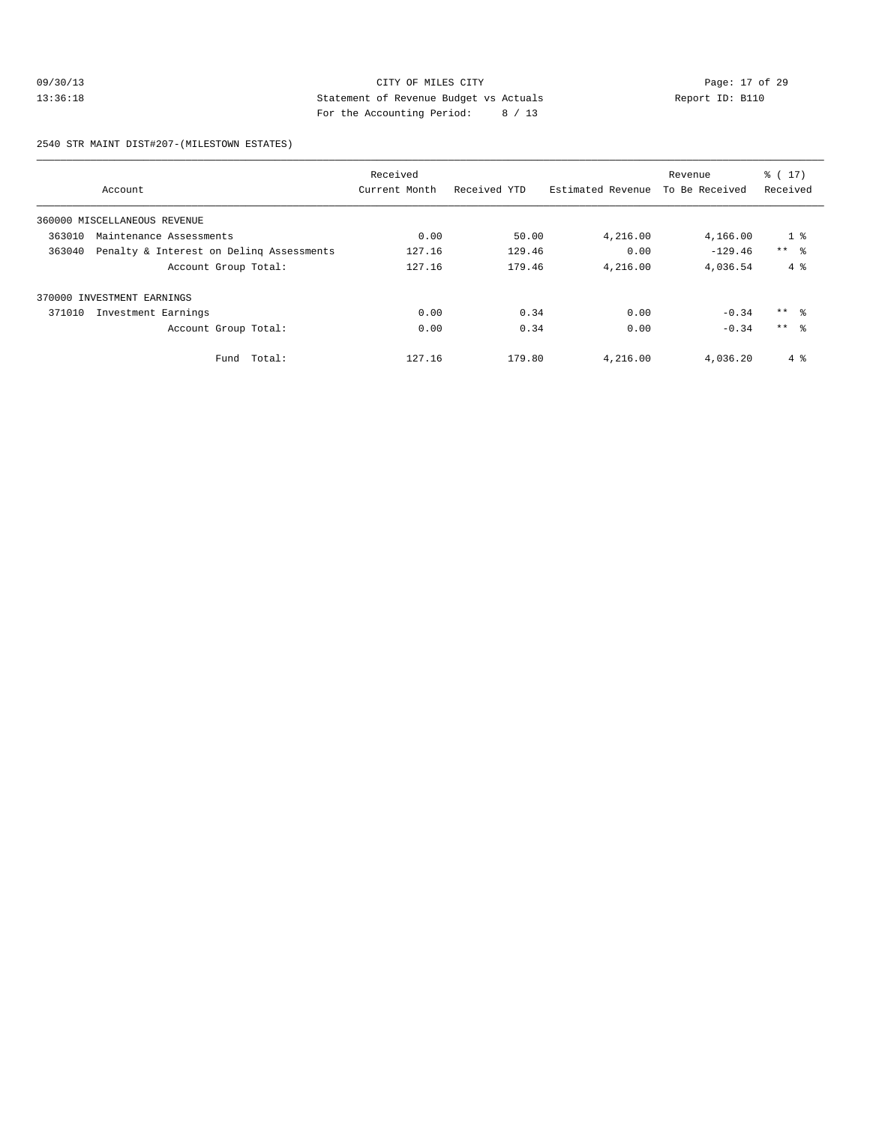#### 09/30/13 Page: 17 of 29 13:36:18 **Statement of Revenue Budget vs Actuals** Report ID: B110 For the Accounting Period: 8 / 13

2540 STR MAINT DIST#207-(MILESTOWN ESTATES)

|        |                                          | Received      |              |                   | Revenue        | % (17)          |
|--------|------------------------------------------|---------------|--------------|-------------------|----------------|-----------------|
|        | Account                                  | Current Month | Received YTD | Estimated Revenue | To Be Received | Received        |
|        | 360000 MISCELLANEOUS REVENUE             |               |              |                   |                |                 |
| 363010 | Maintenance Assessments                  | 0.00          | 50.00        | 4,216.00          | 4,166.00       | 1 <sup>8</sup>  |
| 363040 | Penalty & Interest on Deling Assessments | 127.16        | 129.46       | 0.00              | $-129.46$      | $***$ $ -$      |
|        | Account Group Total:                     | 127.16        | 179.46       | 4,216.00          | 4,036.54       | $4\degree$      |
|        | 370000 INVESTMENT EARNINGS               |               |              |                   |                |                 |
| 371010 | Investment Earnings                      | 0.00          | 0.34         | 0.00              | $-0.34$        | $***$ $ -$      |
|        | Account Group Total:                     | 0.00          | 0.34         | 0.00              | $-0.34$        | $***$ $\approx$ |
|        | Fund Total:                              | 127.16        | 179.80       | 4,216.00          | 4,036.20       | $4\degree$      |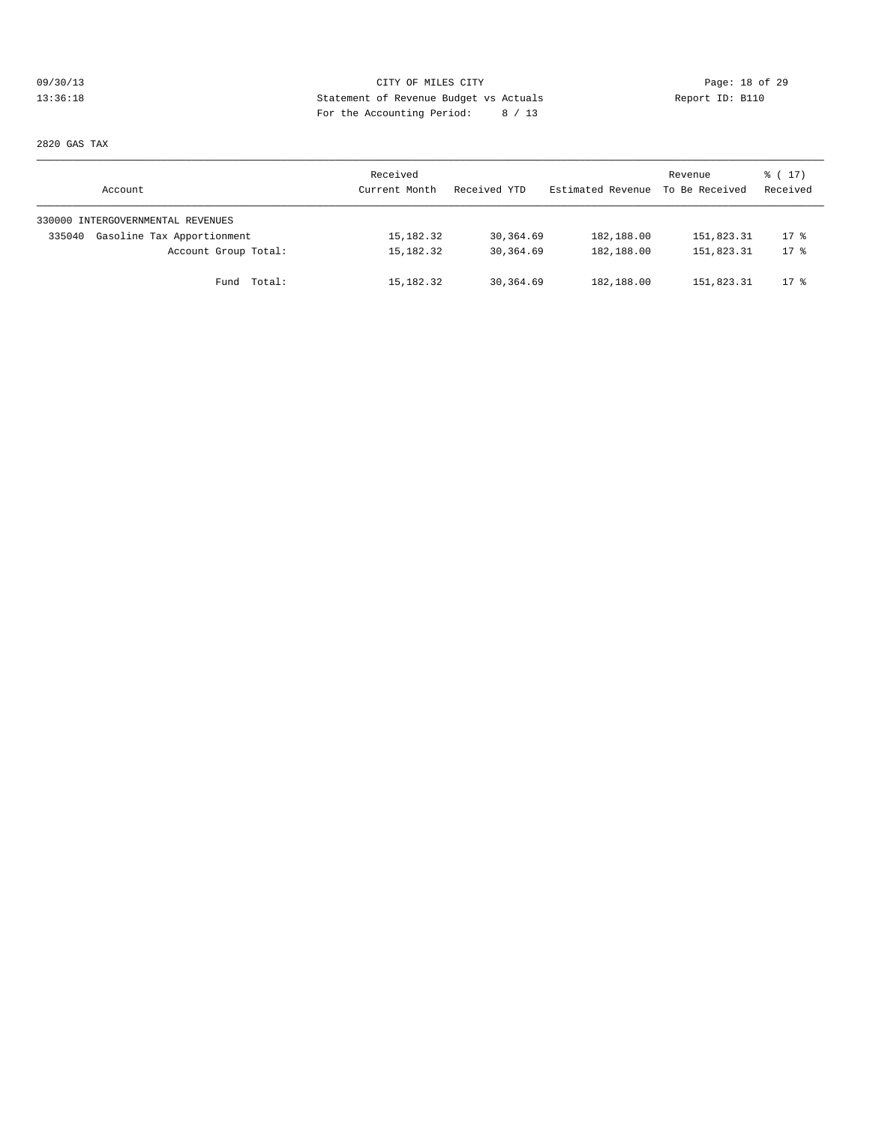# 09/30/13 Page: 18 of 29 13:36:18 Statement of Revenue Budget vs Actuals Report ID: B110 For the Accounting Period: 8 / 13

2820 GAS TAX

| Account                              | Received<br>Current Month | Received YTD | Estimated Revenue | Revenue<br>To Be Received | $\frac{1}{6}$ (17)<br>Received |
|--------------------------------------|---------------------------|--------------|-------------------|---------------------------|--------------------------------|
| 330000 INTERGOVERNMENTAL REVENUES    |                           |              |                   |                           |                                |
| Gasoline Tax Apportionment<br>335040 | 15,182.32                 | 30,364.69    | 182,188.00        | 151,823.31                | $17*$                          |
| Account Group Total:                 | 15,182.32                 | 30,364.69    | 182,188.00        | 151,823.31                | $17*$                          |
| Fund Total:                          | 15,182.32                 | 30,364.69    | 182,188.00        | 151,823.31                | $17*$                          |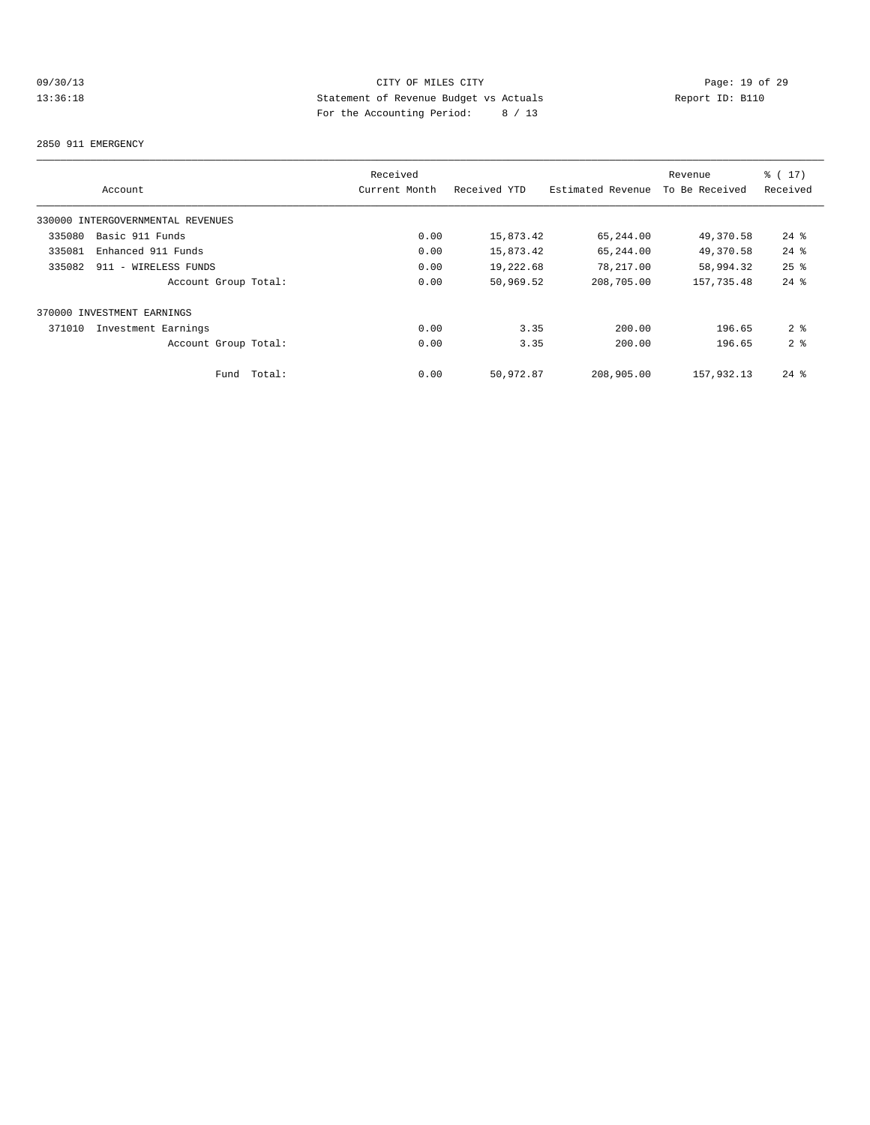# 09/30/13 Page: 19 of 29 13:36:18 Statement of Revenue Budget vs Actuals Report ID: B110 For the Accounting Period: 8 / 13

#### 2850 911 EMERGENCY

|                                   |        | Received      |              |                   | Revenue        | % (17)             |
|-----------------------------------|--------|---------------|--------------|-------------------|----------------|--------------------|
| Account                           |        | Current Month | Received YTD | Estimated Revenue | To Be Received | Received           |
| 330000 INTERGOVERNMENTAL REVENUES |        |               |              |                   |                |                    |
| Basic 911 Funds<br>335080         |        | 0.00          | 15,873.42    | 65,244.00         | 49,370.58      | $24$ %             |
| 335081<br>Enhanced 911 Funds      |        | 0.00          | 15,873.42    | 65,244.00         | 49,370.58      | $24$ %             |
| 335082<br>911 - WIRELESS FUNDS    |        | 0.00          | 19,222.68    | 78,217.00         | 58,994.32      | $25$ %             |
| Account Group Total:              |        | 0.00          | 50,969.52    | 208,705.00        | 157.735.48     | $24$ $%$           |
| 370000 INVESTMENT EARNINGS        |        |               |              |                   |                |                    |
| 371010<br>Investment Earnings     |        | 0.00          | 3.35         | 200.00            | 196.65         | 2 <sup>8</sup>     |
| Account Group Total:              |        | 0.00          | 3.35         | 200.00            | 196.65         | 2 <sub>8</sub>     |
| Fund                              | Total: | 0.00          | 50,972.87    | 208,905.00        | 157,932.13     | $24$ $\frac{6}{5}$ |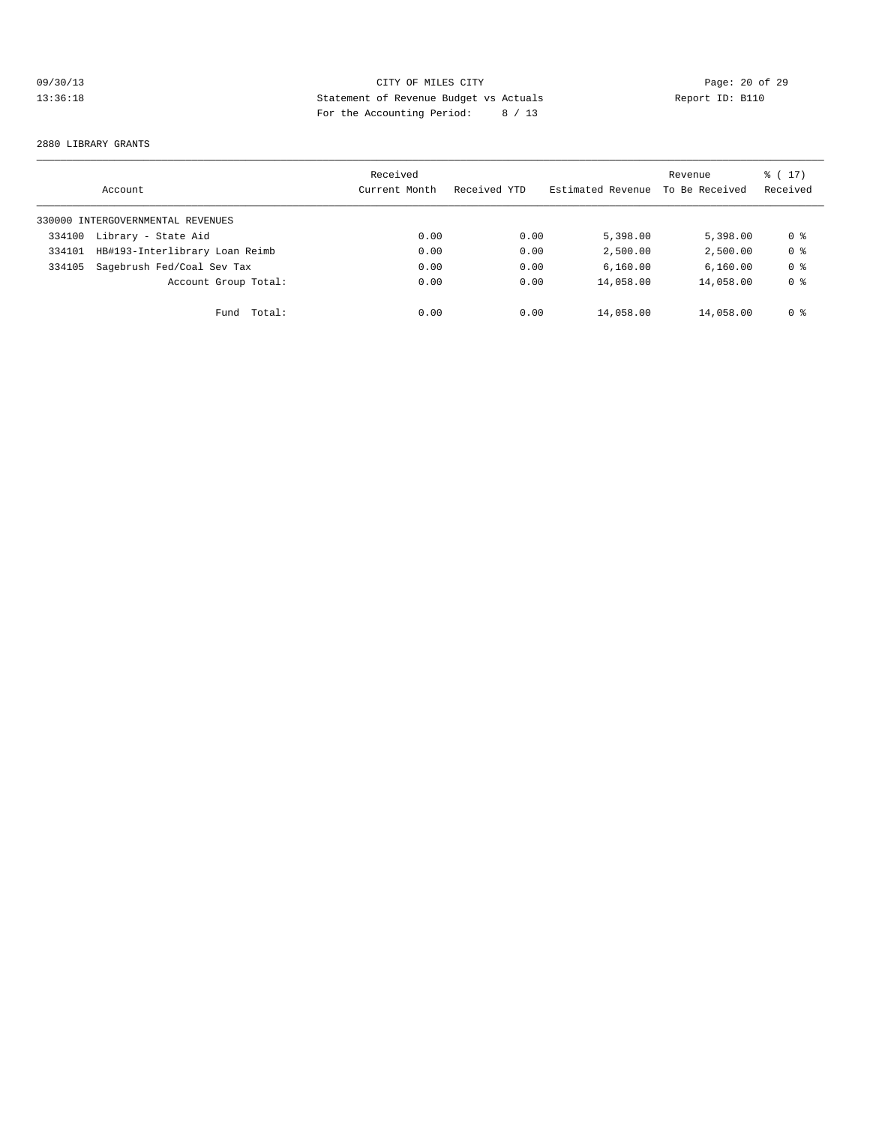# 09/30/13 Page: 20 of 29 13:36:18 Statement of Revenue Budget vs Actuals Report ID: B110 For the Accounting Period: 8 / 13

#### 2880 LIBRARY GRANTS

|        | Account                           | Received<br>Current Month | Received YTD | Estimated Revenue | Revenue<br>To Be Received | $\frac{1}{6}$ ( 17 )<br>Received |
|--------|-----------------------------------|---------------------------|--------------|-------------------|---------------------------|----------------------------------|
|        | 330000 INTERGOVERNMENTAL REVENUES |                           |              |                   |                           |                                  |
| 334100 | Library - State Aid               | 0.00                      | 0.00         | 5,398.00          | 5,398,00                  | 0 %                              |
| 334101 | HB#193-Interlibrary Loan Reimb    | 0.00                      | 0.00         | 2,500.00          | 2,500.00                  | 0 <sub>8</sub>                   |
| 334105 | Sagebrush Fed/Coal Sev Tax        | 0.00                      | 0.00         | 6,160.00          | 6,160.00                  | 0 <sub>8</sub>                   |
|        | Account Group Total:              | 0.00                      | 0.00         | 14,058.00         | 14,058.00                 | 0 <sub>8</sub>                   |
|        | Total:<br>Fund                    | 0.00                      | 0.00         | 14,058.00         | 14,058.00                 | 0 %                              |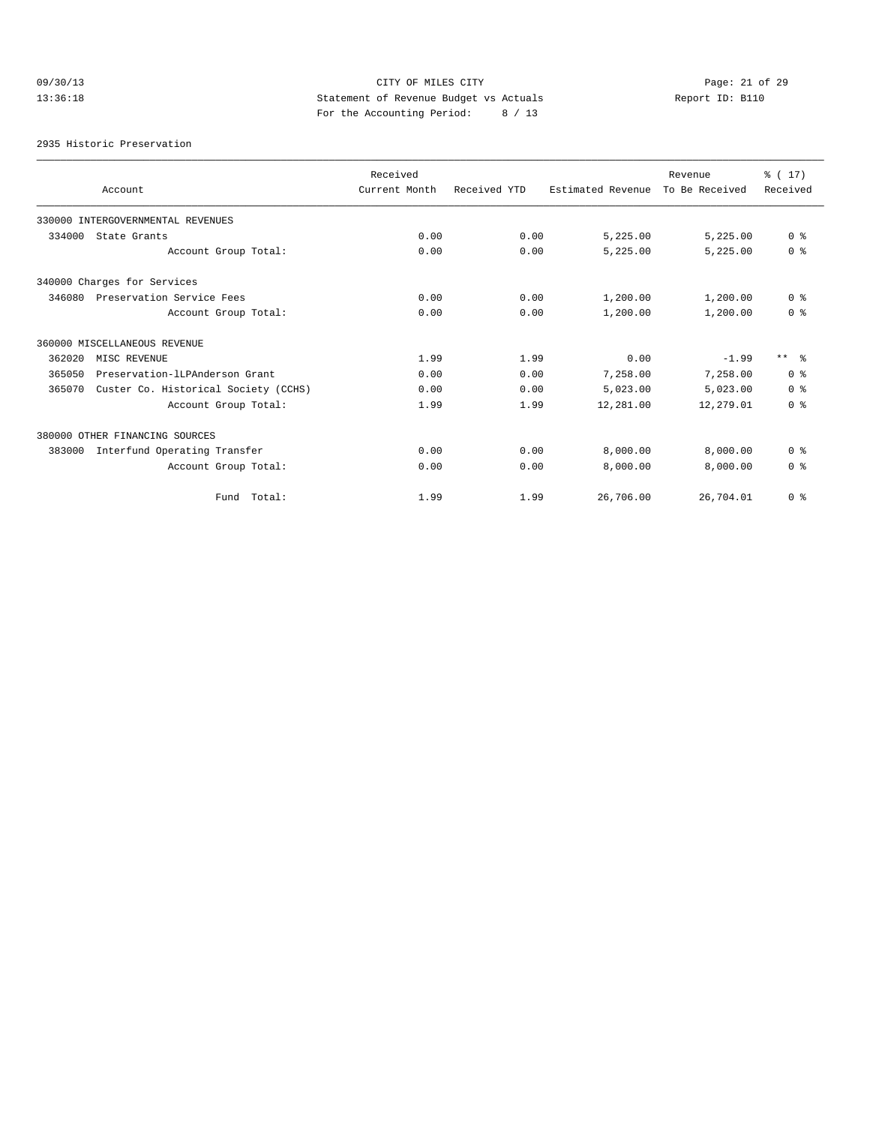# 09/30/13 Page: 21 of 29 13:36:18 Statement of Revenue Budget vs Actuals Report ID: B110 For the Accounting Period: 8 / 13

2935 Historic Preservation

|        |                                      | Received      |              |                   | Revenue        | $\frac{1}{6}$ ( 17 ) |
|--------|--------------------------------------|---------------|--------------|-------------------|----------------|----------------------|
|        | Account                              | Current Month | Received YTD | Estimated Revenue | To Be Received | Received             |
|        | 330000 INTERGOVERNMENTAL REVENUES    |               |              |                   |                |                      |
| 334000 | State Grants                         | 0.00          | 0.00         | 5,225.00          | 5,225.00       | 0 <sup>8</sup>       |
|        | Account Group Total:                 | 0.00          | 0.00         | 5,225.00          | 5,225.00       | 0 <sup>8</sup>       |
|        | 340000 Charges for Services          |               |              |                   |                |                      |
| 346080 | Preservation Service Fees            | 0.00          | 0.00         | 1,200.00          | 1,200.00       | 0 <sup>8</sup>       |
|        | Account Group Total:                 | 0.00          | 0.00         | 1,200.00          | 1,200.00       | 0 <sup>8</sup>       |
|        | 360000 MISCELLANEOUS REVENUE         |               |              |                   |                |                      |
| 362020 | MISC REVENUE                         | 1.99          | 1.99         | 0.00              | $-1.99$        | $***$ $\approx$      |
| 365050 | Preservation-lLPAnderson Grant       | 0.00          | 0.00         | 7,258.00          | 7,258.00       | 0 <sup>8</sup>       |
| 365070 | Custer Co. Historical Society (CCHS) | 0.00          | 0.00         | 5,023.00          | 5,023.00       | 0 <sup>8</sup>       |
|        | Account Group Total:                 | 1.99          | 1.99         | 12,281.00         | 12,279.01      | 0 <sup>8</sup>       |
|        | 380000 OTHER FINANCING SOURCES       |               |              |                   |                |                      |
| 383000 | Interfund Operating Transfer         | 0.00          | 0.00         | 8,000.00          | 8,000.00       | 0 <sup>8</sup>       |
|        | Account Group Total:                 | 0.00          | 0.00         | 8,000.00          | 8,000.00       | 0 <sup>8</sup>       |
|        | Fund Total:                          | 1.99          | 1.99         | 26,706.00         | 26,704.01      | 0 <sup>8</sup>       |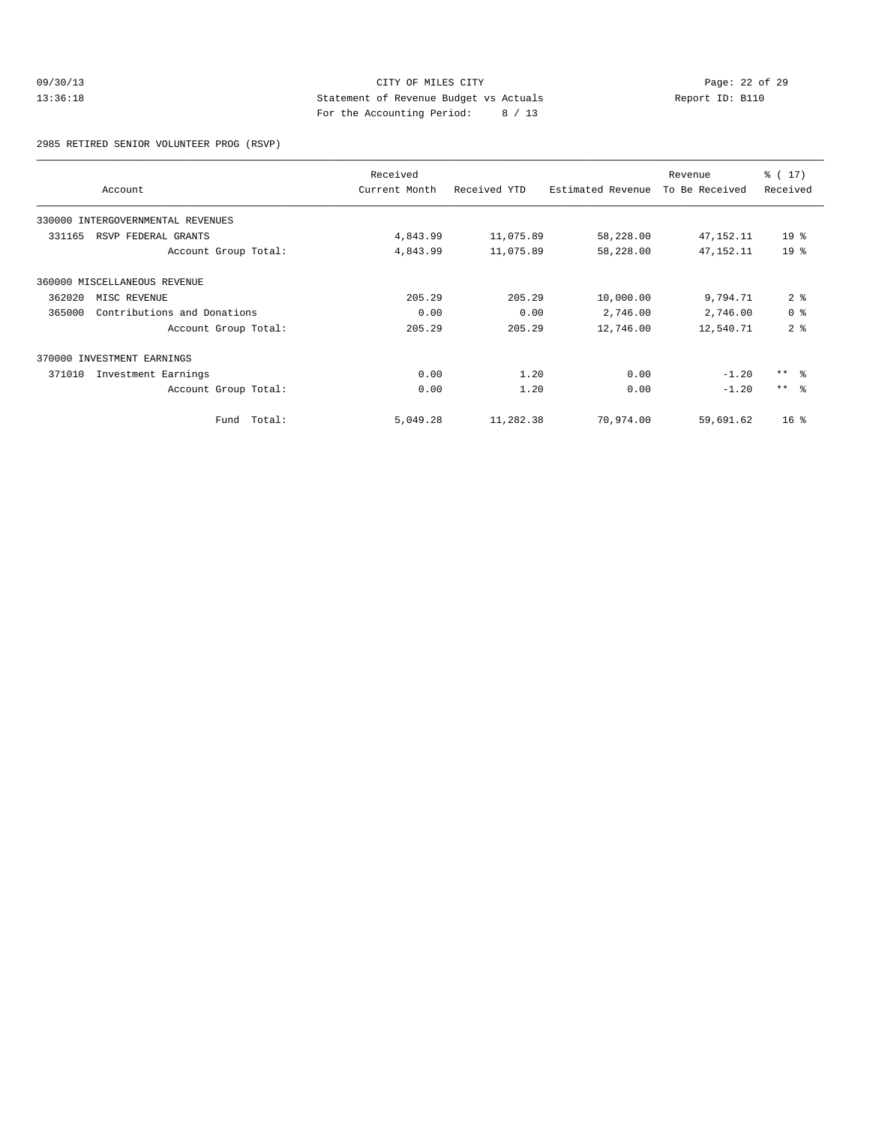#### 09/30/13 Page: 22 of 29 13:36:18 Statement of Revenue Budget vs Actuals Report ID: B110 For the Accounting Period: 8 / 13

2985 RETIRED SENIOR VOLUNTEER PROG (RSVP)

|        | Account                           | Received<br>Current Month | Received YTD | Estimated Revenue | Revenue<br>To Be Received | $\frac{1}{6}$ (17)<br>Received |
|--------|-----------------------------------|---------------------------|--------------|-------------------|---------------------------|--------------------------------|
|        | 330000 INTERGOVERNMENTAL REVENUES |                           |              |                   |                           |                                |
| 331165 | RSVP FEDERAL GRANTS               | 4,843.99                  | 11,075.89    | 58,228.00         | 47,152.11                 | 19 <sup>°</sup>                |
|        | Account Group Total:              | 4,843.99                  | 11,075.89    | 58,228.00         | 47, 152. 11               | 19 <sup>°</sup>                |
|        | 360000 MISCELLANEOUS REVENUE      |                           |              |                   |                           |                                |
| 362020 | MISC REVENUE                      | 205.29                    | 205.29       | 10,000.00         | 9,794.71                  | 2 <sup>8</sup>                 |
| 365000 | Contributions and Donations       | 0.00                      | 0.00         | 2,746.00          | 2,746.00                  | 0 <sup>8</sup>                 |
|        | Account Group Total:              | 205.29                    | 205.29       | 12,746.00         | 12,540.71                 | 2 <sup>°</sup>                 |
| 370000 | INVESTMENT EARNINGS               |                           |              |                   |                           |                                |
| 371010 | Investment Earnings               | 0.00                      | 1.20         | 0.00              | $-1.20$                   | $***$ $ -$                     |
|        | Account Group Total:              | 0.00                      | 1.20         | 0.00              | $-1.20$                   | $***$ $ -$                     |
|        | Fund Total:                       | 5,049.28                  | 11,282.38    | 70,974.00         | 59,691.62                 | 16 <sup>8</sup>                |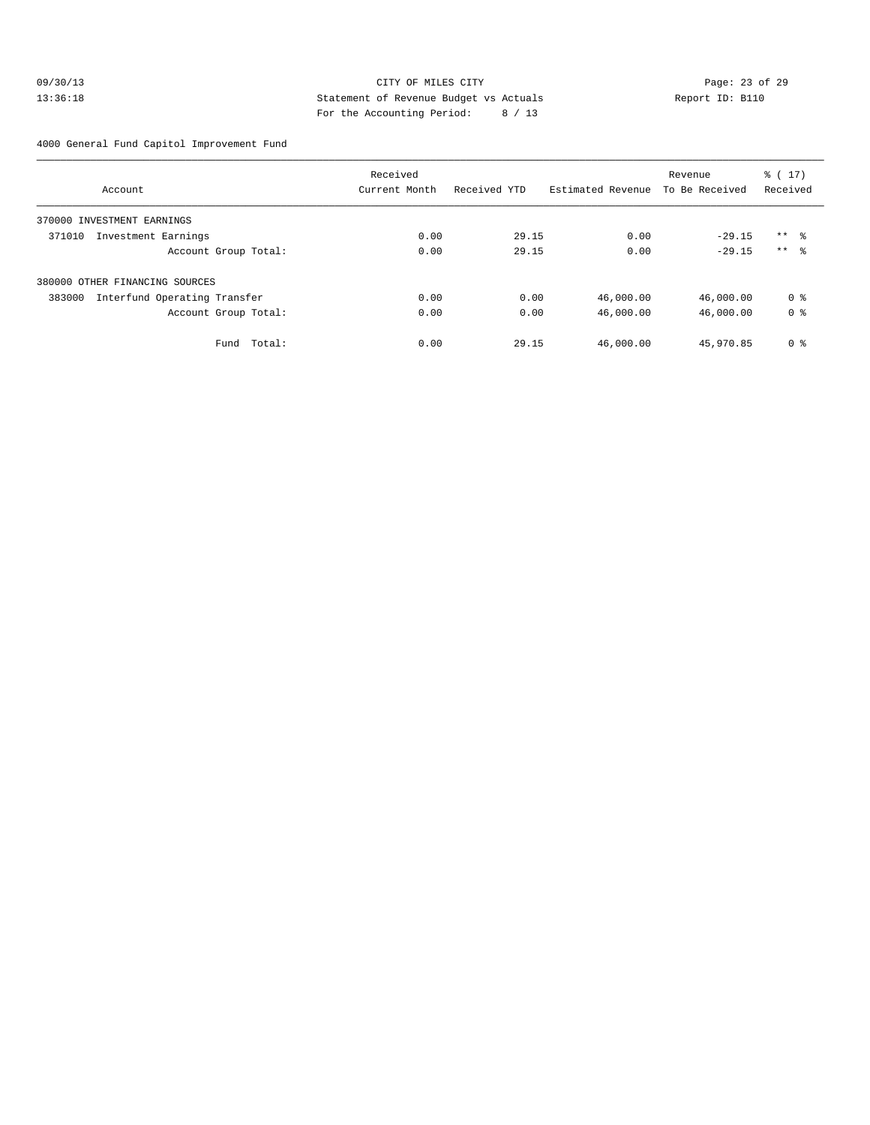#### 09/30/13 Page: 23 of 29 13:36:18 **Statement of Revenue Budget vs Actuals** Report ID: B110 For the Accounting Period: 8 / 13

4000 General Fund Capitol Improvement Fund

|                                        | Received      |              |                   | Revenue        | $\frac{1}{6}$ ( 17 ) |
|----------------------------------------|---------------|--------------|-------------------|----------------|----------------------|
| Account                                | Current Month | Received YTD | Estimated Revenue | To Be Received | Received             |
| 370000 INVESTMENT EARNINGS             |               |              |                   |                |                      |
| 371010<br>Investment Earnings          | 0.00          | 29.15        | 0.00              | $-29.15$       | $***$ %              |
| Account Group Total:                   | 0.00          | 29.15        | 0.00              | $-29.15$       | $***$ %              |
| 380000 OTHER FINANCING SOURCES         |               |              |                   |                |                      |
| 383000<br>Interfund Operating Transfer | 0.00          | 0.00         | 46,000.00         | 46,000.00      | 0 <sub>8</sub>       |
| Account Group Total:                   | 0.00          | 0.00         | 46,000.00         | 46,000.00      | 0 <sub>8</sub>       |
| Total:<br>Fund                         | 0.00          | 29.15        | 46,000.00         | 45,970.85      | 0 <sup>8</sup>       |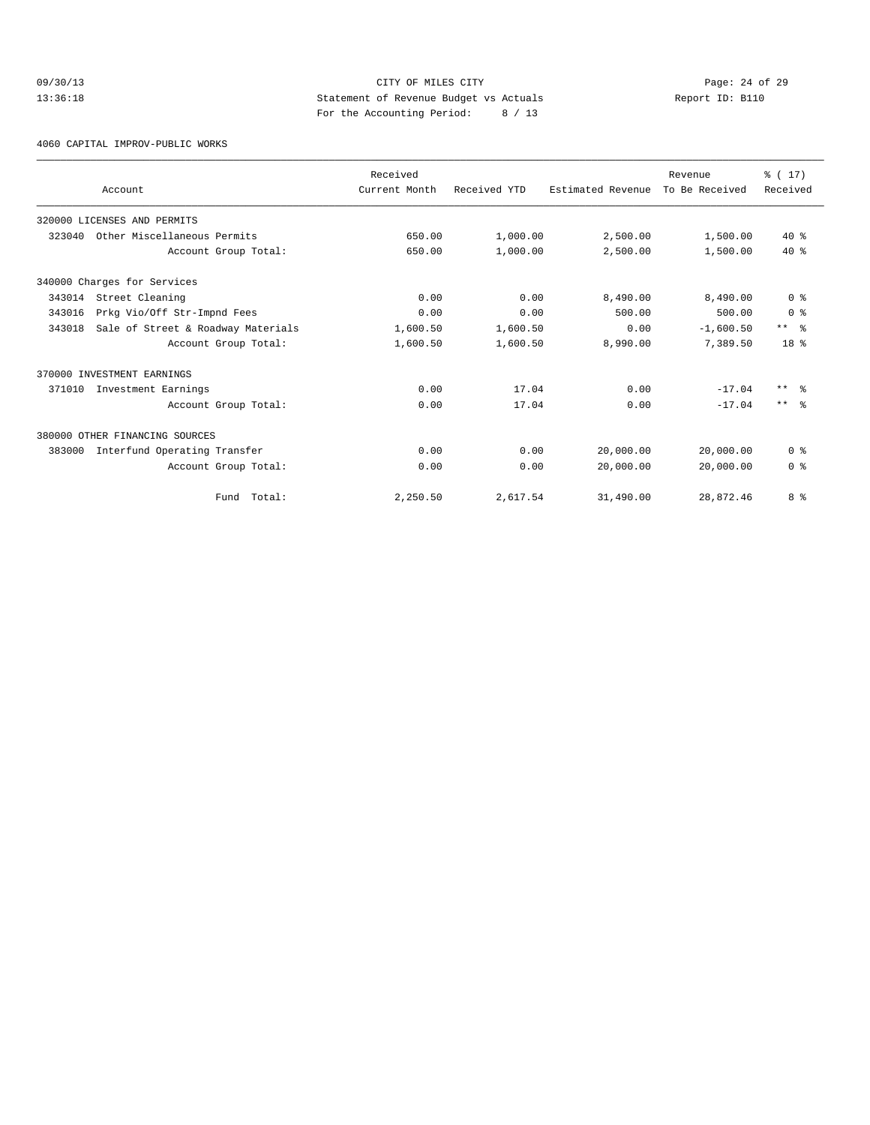# 09/30/13 Page: 24 of 29 13:36:18 Statement of Revenue Budget vs Actuals Report ID: B110 For the Accounting Period: 8 / 13

4060 CAPITAL IMPROV-PUBLIC WORKS

|        | Account                            | Received<br>Current Month | Received YTD | Estimated Revenue | Revenue<br>To Be Received | % (17)<br>Received |
|--------|------------------------------------|---------------------------|--------------|-------------------|---------------------------|--------------------|
|        |                                    |                           |              |                   |                           |                    |
|        | 320000 LICENSES AND PERMITS        |                           |              |                   |                           |                    |
| 323040 | Other Miscellaneous Permits        | 650.00                    | 1,000.00     | 2,500.00          | 1,500.00                  | $40*$              |
|        | Account Group Total:               | 650.00                    | 1,000.00     | 2,500.00          | 1,500.00                  | $40*$              |
|        | 340000 Charges for Services        |                           |              |                   |                           |                    |
| 343014 | Street Cleaning                    | 0.00                      | 0.00         | 8,490.00          | 8,490.00                  | 0 <sup>8</sup>     |
| 343016 | Prkg Vio/Off Str-Impnd Fees        | 0.00                      | 0.00         | 500.00            | 500.00                    | 0 <sup>8</sup>     |
| 343018 | Sale of Street & Roadway Materials | 1,600.50                  | 1,600.50     | 0.00              | $-1,600.50$               | $***$ 8            |
|        | Account Group Total:               | 1,600.50                  | 1,600.50     | 8,990.00          | 7.389.50                  | 18 <sup>8</sup>    |
|        | 370000 INVESTMENT EARNINGS         |                           |              |                   |                           |                    |
| 371010 | Investment Earnings                | 0.00                      | 17.04        | 0.00              | $-17.04$                  | $***$ $ -$         |
|        | Account Group Total:               | 0.00                      | 17.04        | 0.00              | $-17.04$                  | $***$ $ -$         |
|        | 380000 OTHER FINANCING SOURCES     |                           |              |                   |                           |                    |
| 383000 | Interfund Operating Transfer       | 0.00                      | 0.00         | 20,000.00         | 20,000.00                 | 0 <sup>8</sup>     |
|        | Account Group Total:               | 0.00                      | 0.00         | 20,000.00         | 20,000.00                 | 0 <sup>8</sup>     |
|        | Fund Total:                        | 2,250.50                  | 2,617.54     | 31,490.00         | 28,872.46                 | 8 %                |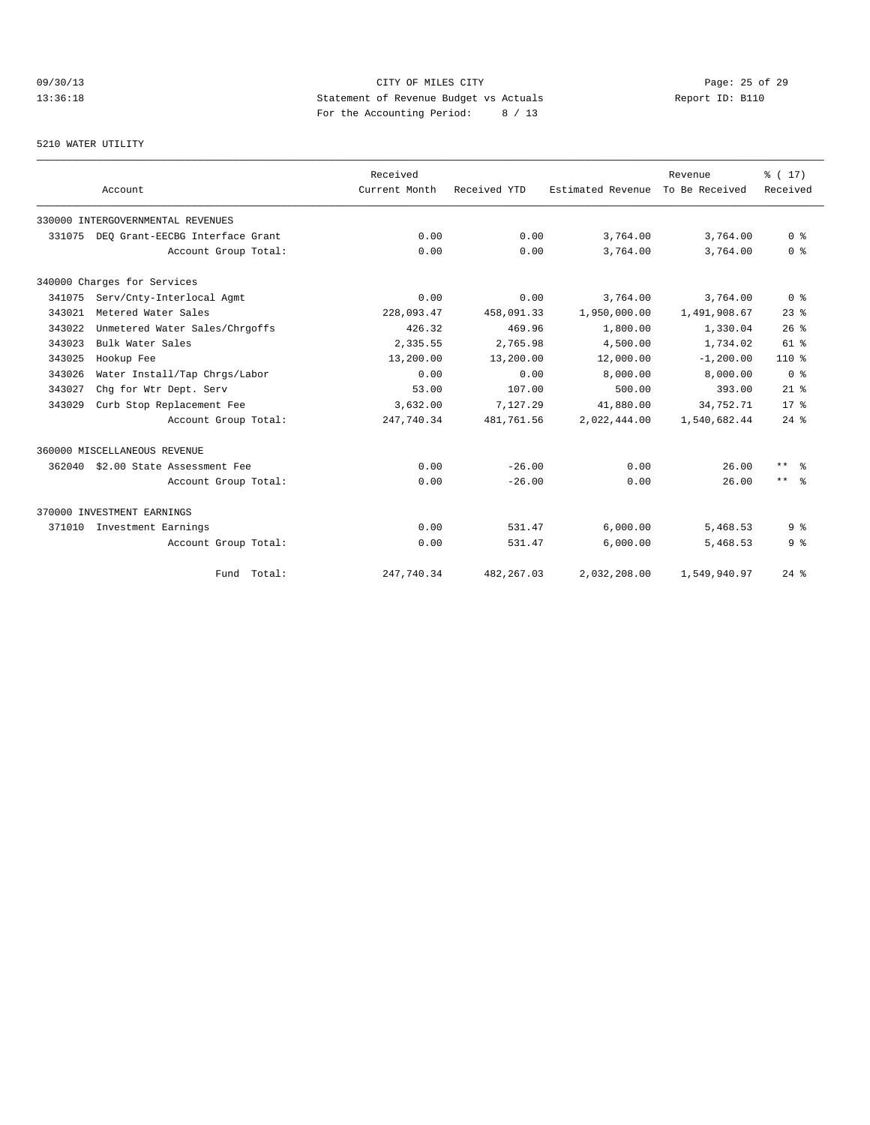# 09/30/13 Page: 25 of 29 13:36:18 Statement of Revenue Budget vs Actuals Report ID: B110 For the Accounting Period: 8 / 13

#### 5210 WATER UTILITY

|        | Account                           | Received<br>Current Month | Received YTD | Estimated Revenue | Revenue<br>To Be Received | % (17)<br>Received      |
|--------|-----------------------------------|---------------------------|--------------|-------------------|---------------------------|-------------------------|
|        |                                   |                           |              |                   |                           |                         |
|        | 330000 INTERGOVERNMENTAL REVENUES |                           |              |                   |                           |                         |
| 331075 | DEO Grant-EECBG Interface Grant   | 0.00                      | 0.00         | 3,764.00          | 3,764.00                  | 0 <sup>8</sup>          |
|        | Account Group Total:              | 0.00                      | 0.00         | 3,764.00          | 3,764.00                  | 0 <sup>8</sup>          |
|        | 340000 Charges for Services       |                           |              |                   |                           |                         |
| 341075 | Serv/Cnty-Interlocal Agmt         | 0.00                      | 0.00         | 3,764.00          | 3,764.00                  | 0 <sup>8</sup>          |
| 343021 | Metered Water Sales               | 228,093.47                | 458,091.33   | 1,950,000.00      | 1,491,908.67              | $23$ $%$                |
| 343022 | Unmetered Water Sales/Chrgoffs    | 426.32                    | 469.96       | 1,800.00          | 1,330.04                  | 26%                     |
| 343023 | Bulk Water Sales                  | 2,335.55                  | 2,765.98     | 4,500.00          | 1,734.02                  | $61$ %                  |
| 343025 | Hookup Fee                        | 13,200.00                 | 13,200.00    | 12,000.00         | $-1, 200.00$              | $110*$                  |
| 343026 | Water Install/Tap Chrgs/Labor     | 0.00                      | 0.00         | 8,000.00          | 8,000.00                  | 0 <sup>8</sup>          |
| 343027 | Chq for Wtr Dept. Serv            | 53.00                     | 107.00       | 500.00            | 393.00                    | $21$ %                  |
| 343029 | Curb Stop Replacement Fee         | 3,632.00                  | 7,127.29     | 41,880.00         | 34,752.71                 | 17 <sup>8</sup>         |
|        | Account Group Total:              | 247,740.34                | 481,761.56   | 2,022,444.00      | 1,540,682.44              | $24$ $%$                |
|        | 360000 MISCELLANEOUS REVENUE      |                           |              |                   |                           |                         |
| 362040 | \$2.00 State Assessment Fee       | 0.00                      | $-26.00$     | 0.00              | 26.00                     | $***$ $=$ $\frac{6}{5}$ |
|        | Account Group Total:              | 0.00                      | $-26.00$     | 0.00              | 26.00                     | $***$ $ \frac{6}{6}$    |
|        | 370000 INVESTMENT EARNINGS        |                           |              |                   |                           |                         |
| 371010 | Investment Earnings               | 0.00                      | 531.47       | 6,000.00          | 5,468.53                  | 9 <sub>8</sub>          |
|        | Account Group Total:              | 0.00                      | 531.47       | 6,000.00          | 5,468.53                  | 9 <sub>8</sub>          |
|        | Fund Total:                       | 247,740.34                | 482, 267.03  | 2,032,208.00      | 1,549,940.97              | $24$ %                  |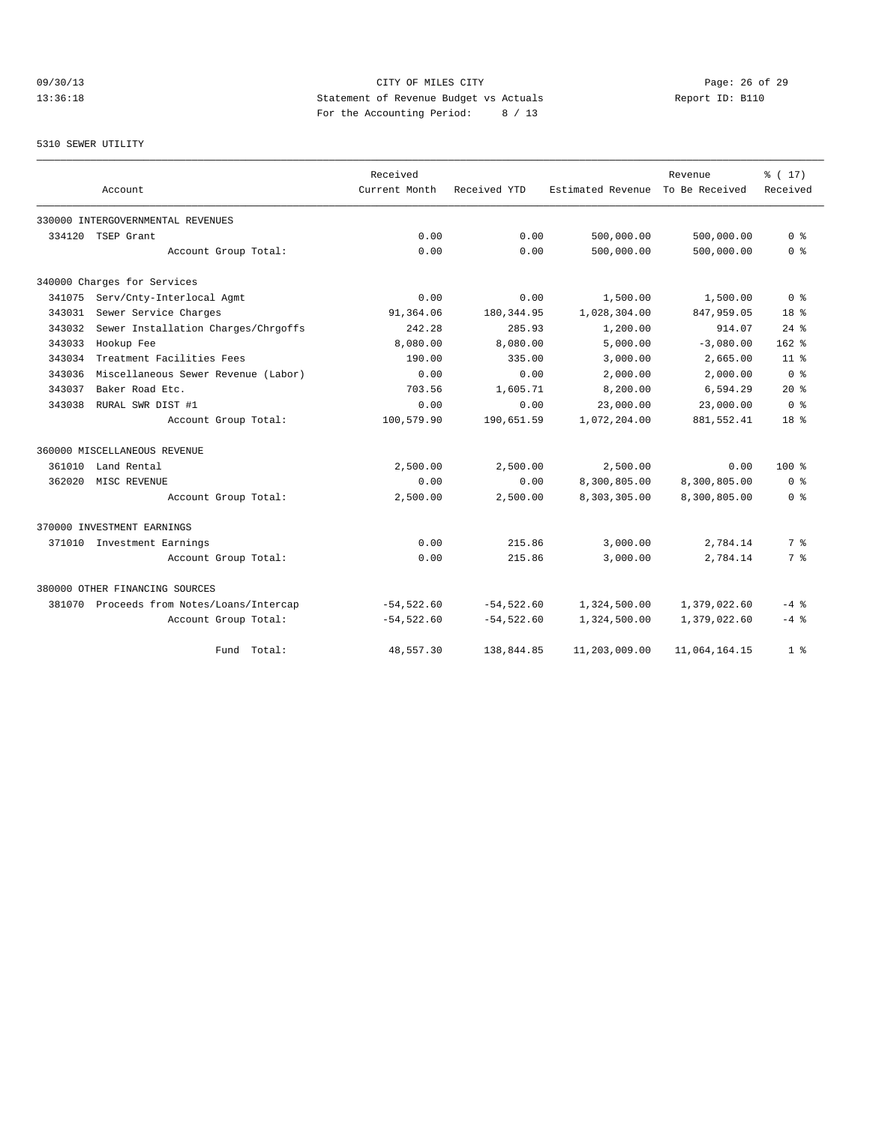# 09/30/13 Page: 26 of 29 13:36:18 Statement of Revenue Budget vs Actuals Report ID: B110 For the Accounting Period: 8 / 13

#### 5310 SEWER UTILITY

|        |                                           | Received      |              |                   | Revenue        | % (17)          |
|--------|-------------------------------------------|---------------|--------------|-------------------|----------------|-----------------|
|        | Account                                   | Current Month | Received YTD | Estimated Revenue | To Be Received | Received        |
|        | 330000 INTERGOVERNMENTAL REVENUES         |               |              |                   |                |                 |
| 334120 | TSEP Grant                                | 0.00          | 0.00         | 500,000.00        | 500,000.00     | 0 <sup>8</sup>  |
|        | Account Group Total:                      | 0.00          | 0.00         | 500,000.00        | 500,000.00     | 0 <sup>8</sup>  |
|        | 340000 Charges for Services               |               |              |                   |                |                 |
| 341075 | Serv/Cnty-Interlocal Agmt                 | 0.00          | 0.00         | 1,500.00          | 1,500.00       | 0 <sup>8</sup>  |
| 343031 | Sewer Service Charges                     | 91,364.06     | 180, 344.95  | 1,028,304.00      | 847,959.05     | 18 <sup>8</sup> |
| 343032 | Sewer Installation Charges/Chrgoffs       | 242.28        | 285.93       | 1,200.00          | 914.07         | $24$ $%$        |
| 343033 | Hookup Fee                                | 8,080.00      | 8,080.00     | 5,000.00          | $-3,080.00$    | $162$ %         |
| 343034 | Treatment Facilities Fees                 | 190.00        | 335.00       | 3,000.00          | 2,665.00       | 11 <sup>°</sup> |
| 343036 | Miscellaneous Sewer Revenue (Labor)       | 0.00          | 0.00         | 2,000.00          | 2,000.00       | 0 <sup>8</sup>  |
| 343037 | Baker Road Etc.                           | 703.56        | 1,605.71     | 8,200.00          | 6,594.29       | $20*$           |
| 343038 | RURAL SWR DIST #1                         | 0.00          | 0.00         | 23,000.00         | 23,000.00      | 0 <sup>8</sup>  |
|        | Account Group Total:                      | 100,579.90    | 190,651.59   | 1,072,204.00      | 881,552.41     | 18 <sup>8</sup> |
|        | 360000 MISCELLANEOUS REVENUE              |               |              |                   |                |                 |
| 361010 | Land Rental                               | 2,500.00      | 2,500.00     | 2,500.00          | 0.00           | $100*$          |
| 362020 | MISC REVENUE                              | 0.00          | 0.00         | 8,300,805.00      | 8,300,805.00   | 0 <sup>8</sup>  |
|        | Account Group Total:                      | 2,500.00      | 2,500.00     | 8,303,305.00      | 8,300,805.00   | 0 <sup>8</sup>  |
|        | 370000 INVESTMENT EARNINGS                |               |              |                   |                |                 |
|        | 371010 Investment Earnings                | 0.00          | 215.86       | 3,000.00          | 2,784.14       | 7 %             |
|        | Account Group Total:                      | 0.00          | 215.86       | 3,000.00          | 2,784.14       | 7 %             |
|        | 380000 OTHER FINANCING SOURCES            |               |              |                   |                |                 |
|        | 381070 Proceeds from Notes/Loans/Intercap | $-54,522.60$  | $-54,522.60$ | 1,324,500.00      | 1,379,022.60   | $-4$ %          |
|        | Account Group Total:                      | $-54,522.60$  | $-54,522.60$ | 1,324,500.00      | 1,379,022.60   | $-4$ %          |
|        | Fund Total:                               | 48,557.30     | 138,844.85   | 11,203,009.00     | 11,064,164.15  | 1 <sup>8</sup>  |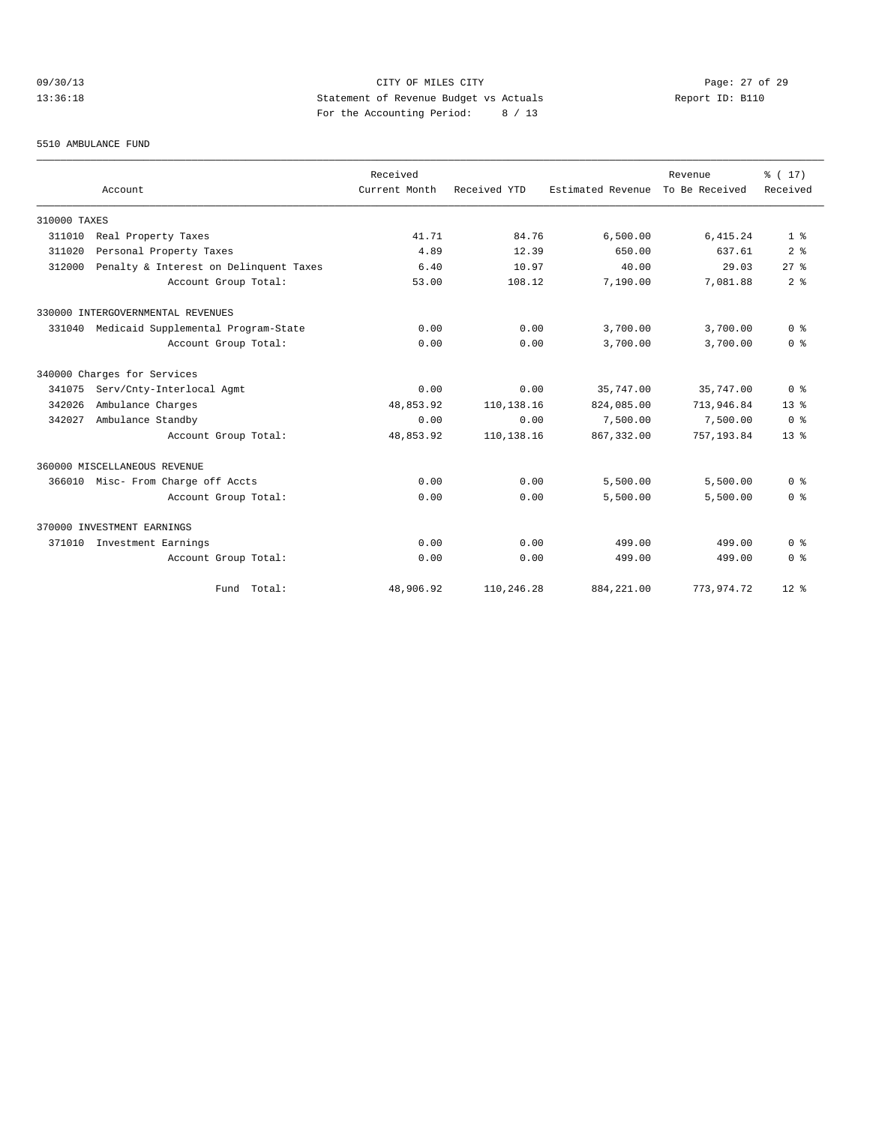# 09/30/13 Page: 27 of 29 13:36:18 Statement of Revenue Budget vs Actuals Report ID: B110 For the Accounting Period: 8 / 13

#### 5510 AMBULANCE FUND

|              | Account                                | Received<br>Current Month | Received YTD | Estimated Revenue | Revenue<br>To Be Received | % (17)<br>Received |
|--------------|----------------------------------------|---------------------------|--------------|-------------------|---------------------------|--------------------|
| 310000 TAXES |                                        |                           |              |                   |                           |                    |
| 311010       | Real Property Taxes                    | 41.71                     | 84.76        | 6,500.00          | 6, 415.24                 | 1 <sup>8</sup>     |
| 311020       | Personal Property Taxes                | 4.89                      | 12.39        | 650.00            | 637.61                    | 2 <sup>8</sup>     |
| 312000       | Penalty & Interest on Delinquent Taxes | 6.40                      | 10.97        | 40.00             | 29.03                     | $27$ $%$           |
|              | Account Group Total:                   | 53.00                     | 108.12       | 7,190.00          | 7,081.88                  | 2 <sup>°</sup>     |
|              | 330000 INTERGOVERNMENTAL REVENUES      |                           |              |                   |                           |                    |
| 331040       | Medicaid Supplemental Program-State    | 0.00                      | 0.00         | 3,700.00          | 3,700.00                  | 0 <sup>8</sup>     |
|              | Account Group Total:                   | 0.00                      | 0.00         | 3,700.00          | 3,700.00                  | 0 <sup>8</sup>     |
|              | 340000 Charges for Services            |                           |              |                   |                           |                    |
| 341075       | Serv/Cnty-Interlocal Agmt              | 0.00                      | 0.00         | 35,747.00         | 35,747.00                 | 0 <sup>8</sup>     |
| 342026       | Ambulance Charges                      | 48,853.92                 | 110,138.16   | 824,085.00        | 713,946.84                | $13*$              |
| 342027       | Ambulance Standby                      | 0.00                      | 0.00         | 7,500.00          | 7,500.00                  | 0 <sup>8</sup>     |
|              | Account Group Total:                   | 48,853.92                 | 110,138.16   | 867, 332, 00      | 757,193.84                | 13 <sup>8</sup>    |
|              | 360000 MISCELLANEOUS REVENUE           |                           |              |                   |                           |                    |
|              | 366010 Misc- From Charge off Accts     | 0.00                      | 0.00         | 5,500.00          | 5,500.00                  | 0 <sup>8</sup>     |
|              | Account Group Total:                   | 0.00                      | 0.00         | 5,500.00          | 5,500.00                  | 0 <sup>8</sup>     |
|              | 370000 INVESTMENT EARNINGS             |                           |              |                   |                           |                    |
| 371010       | Investment Earnings                    | 0.00                      | 0.00         | 499.00            | 499.00                    | 0 <sup>8</sup>     |
|              | Account Group Total:                   | 0.00                      | 0.00         | 499.00            | 499.00                    | 0 <sup>8</sup>     |
|              | Fund Total:                            | 48,906.92                 | 110,246.28   | 884, 221.00       | 773,974.72                | $12*$              |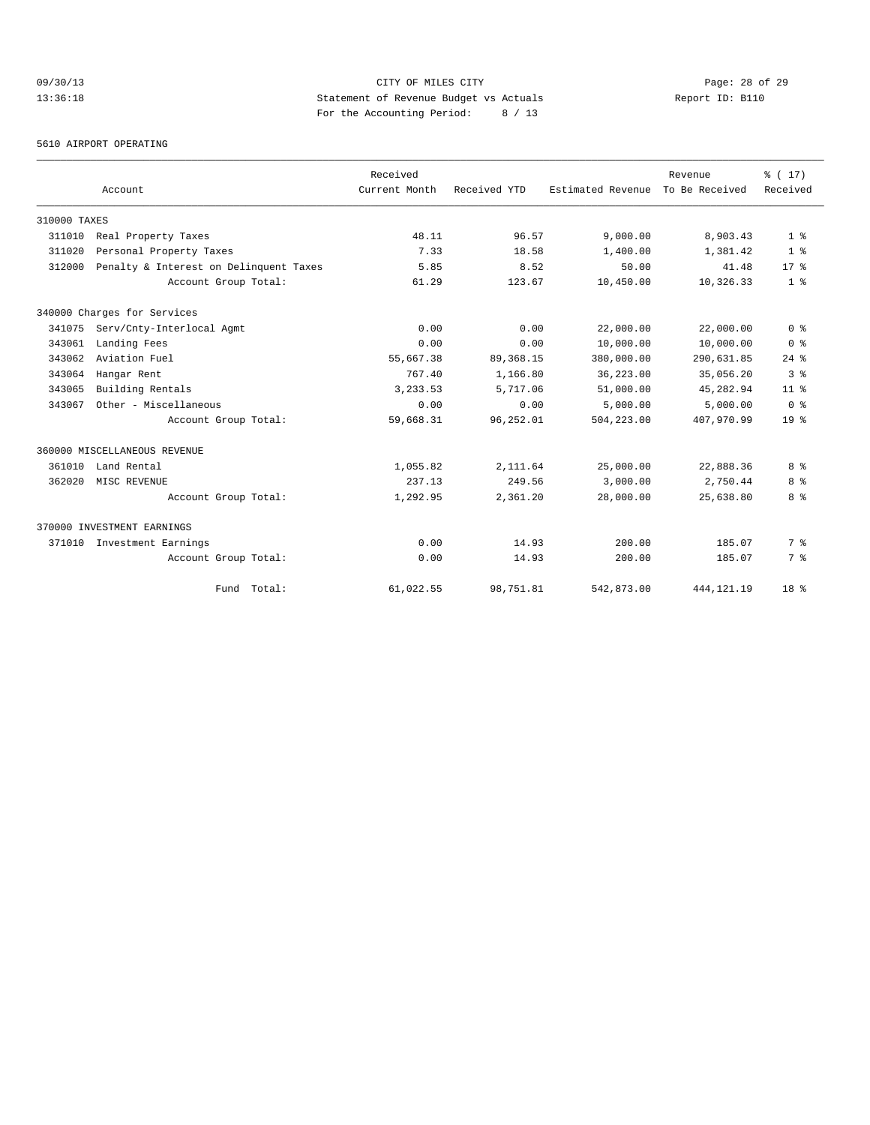# 09/30/13 Page: 28 of 29 13:36:18 Statement of Revenue Budget vs Actuals Report ID: B110 For the Accounting Period: 8 / 13

5610 AIRPORT OPERATING

|              |                                        | Received      |              |                   | Revenue        | % (17)          |
|--------------|----------------------------------------|---------------|--------------|-------------------|----------------|-----------------|
|              | Account                                | Current Month | Received YTD | Estimated Revenue | To Be Received | Received        |
| 310000 TAXES |                                        |               |              |                   |                |                 |
| 311010       | Real Property Taxes                    | 48.11         | 96.57        | 9,000.00          | 8,903.43       | 1 <sup>8</sup>  |
| 311020       | Personal Property Taxes                | 7.33          | 18.58        | 1,400.00          | 1,381.42       | 1 <sup>8</sup>  |
| 312000       | Penalty & Interest on Delinquent Taxes | 5.85          | 8.52         | 50.00             | 41.48          | $17*$           |
|              | Account Group Total:                   | 61.29         | 123.67       | 10,450.00         | 10,326.33      | 1 <sup>8</sup>  |
|              | 340000 Charges for Services            |               |              |                   |                |                 |
| 341075       | Serv/Cnty-Interlocal Agmt              | 0.00          | 0.00         | 22,000.00         | 22,000.00      | 0 <sup>8</sup>  |
| 343061       | Landing Fees                           | 0.00          | 0.00         | 10,000.00         | 10,000.00      | 0 <sup>8</sup>  |
| 343062       | Aviation Fuel                          | 55,667.38     | 89, 368.15   | 380,000.00        | 290,631.85     | $24$ $%$        |
| 343064       | Hangar Rent                            | 767.40        | 1,166.80     | 36,223.00         | 35,056.20      | 3 <sup>8</sup>  |
| 343065       | Building Rentals                       | 3, 233, 53    | 5,717.06     | 51,000.00         | 45, 282.94     | 11 <sup>8</sup> |
| 343067       | Other - Miscellaneous                  | 0.00          | 0.00         | 5,000.00          | 5,000.00       | 0 <sup>8</sup>  |
|              | Account Group Total:                   | 59,668.31     | 96,252.01    | 504,223.00        | 407,970.99     | 19 <sup>°</sup> |
|              | 360000 MISCELLANEOUS REVENUE           |               |              |                   |                |                 |
| 361010       | Land Rental                            | 1,055.82      | 2,111.64     | 25,000.00         | 22,888.36      | 8 %             |
| 362020       | MISC REVENUE                           | 237.13        | 249.56       | 3,000.00          | 2,750.44       | 8 %             |
|              | Account Group Total:                   | 1,292.95      | 2,361.20     | 28,000.00         | 25,638.80      | 8 %             |
|              | 370000 INVESTMENT EARNINGS             |               |              |                   |                |                 |
| 371010       | Investment Earnings                    | 0.00          | 14.93        | 200.00            | 185.07         | 7 <sup>8</sup>  |
|              | Account Group Total:                   | 0.00          | 14.93        | 200.00            | 185.07         | 7 %             |
|              | Fund Total:                            | 61,022.55     | 98,751.81    | 542,873.00        | 444, 121. 19   | 18 <sup>8</sup> |